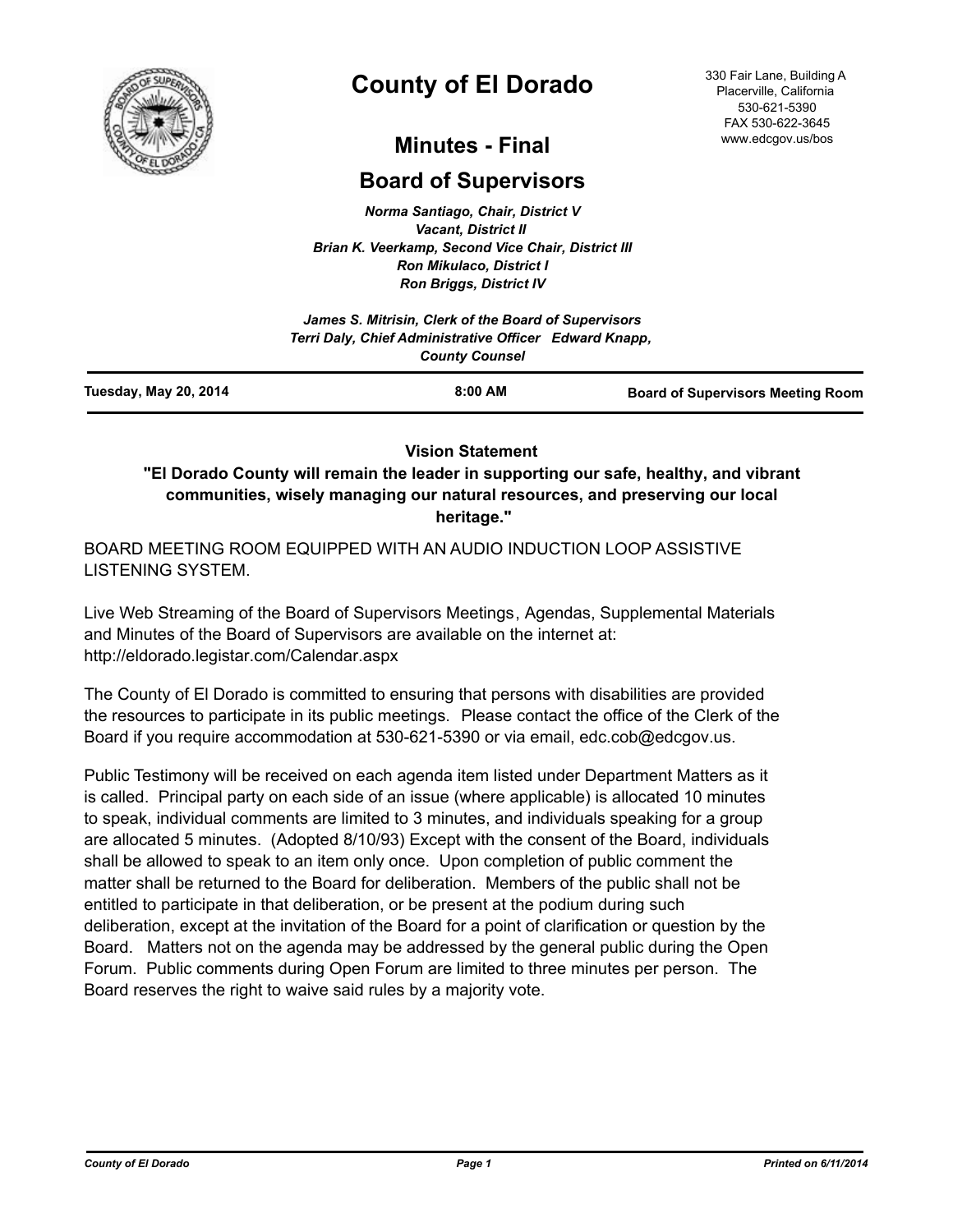

# **County of El Dorado**

## **Minutes - Final**

## **Board of Supervisors**

*Norma Santiago, Chair, District V Vacant, District II Brian K. Veerkamp, Second Vice Chair, District III Ron Mikulaco, District I Ron Briggs, District IV*

|                              | James S. Mitrisin, Clerk of the Board of Supervisors<br>Terri Daly, Chief Administrative Officer Edward Knapp, |                                          |
|------------------------------|----------------------------------------------------------------------------------------------------------------|------------------------------------------|
|                              | <b>County Counsel</b>                                                                                          |                                          |
| <b>Tuesday, May 20, 2014</b> | 8:00 AM                                                                                                        | <b>Board of Supervisors Meeting Room</b> |

## **Vision Statement**

**"El Dorado County will remain the leader in supporting our safe, healthy, and vibrant communities, wisely managing our natural resources, and preserving our local heritage."**

BOARD MEETING ROOM EQUIPPED WITH AN AUDIO INDUCTION LOOP ASSISTIVE LISTENING SYSTEM.

Live Web Streaming of the Board of Supervisors Meetings, Agendas, Supplemental Materials and Minutes of the Board of Supervisors are available on the internet at: http://eldorado.legistar.com/Calendar.aspx

The County of El Dorado is committed to ensuring that persons with disabilities are provided the resources to participate in its public meetings. Please contact the office of the Clerk of the Board if you require accommodation at 530-621-5390 or via email, edc.cob@edcgov.us.

Public Testimony will be received on each agenda item listed under Department Matters as it is called. Principal party on each side of an issue (where applicable) is allocated 10 minutes to speak, individual comments are limited to 3 minutes, and individuals speaking for a group are allocated 5 minutes. (Adopted 8/10/93) Except with the consent of the Board, individuals shall be allowed to speak to an item only once. Upon completion of public comment the matter shall be returned to the Board for deliberation. Members of the public shall not be entitled to participate in that deliberation, or be present at the podium during such deliberation, except at the invitation of the Board for a point of clarification or question by the Board. Matters not on the agenda may be addressed by the general public during the Open Forum. Public comments during Open Forum are limited to three minutes per person. The Board reserves the right to waive said rules by a majority vote.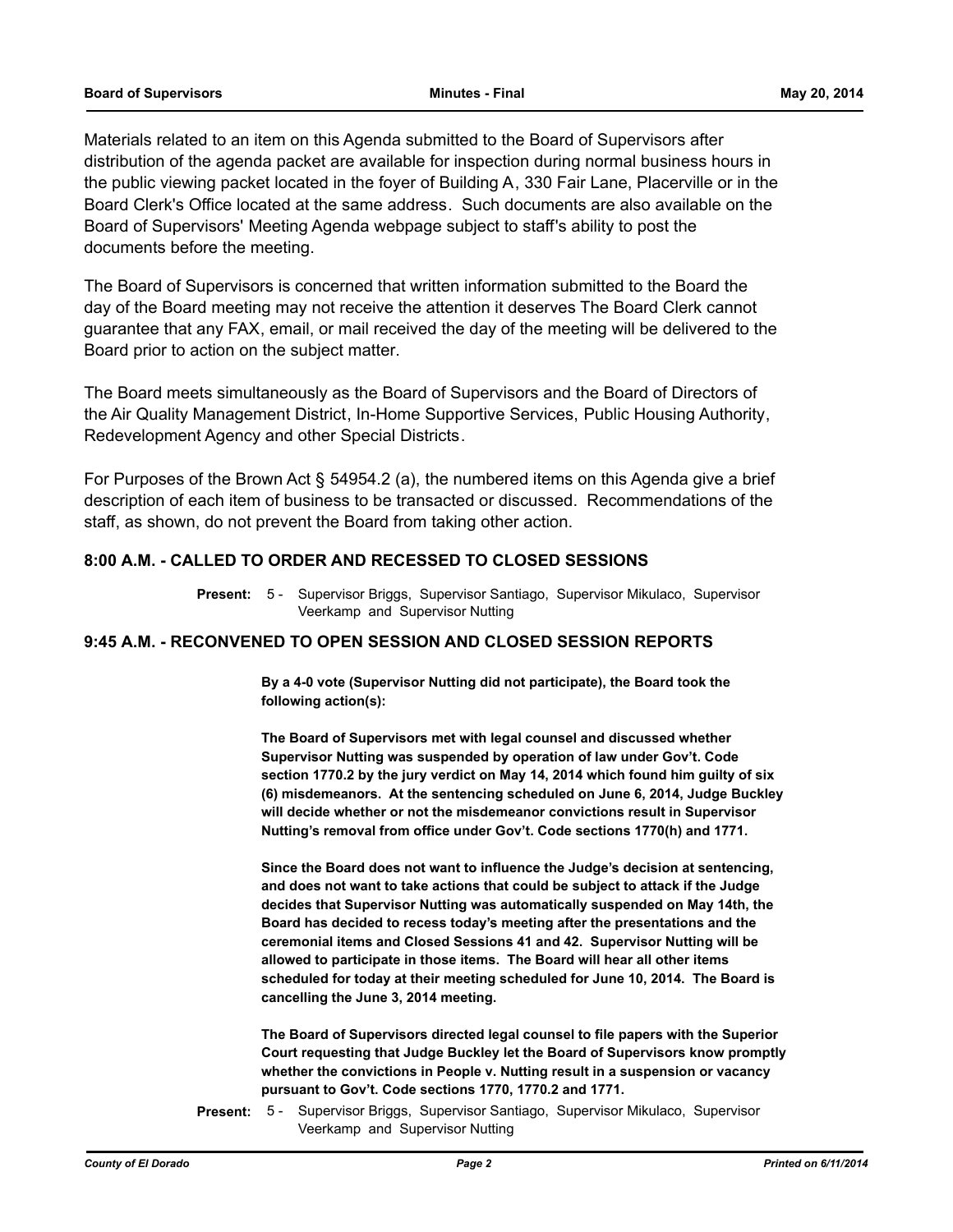Materials related to an item on this Agenda submitted to the Board of Supervisors after distribution of the agenda packet are available for inspection during normal business hours in the public viewing packet located in the foyer of Building A, 330 Fair Lane, Placerville or in the Board Clerk's Office located at the same address. Such documents are also available on the Board of Supervisors' Meeting Agenda webpage subject to staff's ability to post the documents before the meeting.

The Board of Supervisors is concerned that written information submitted to the Board the day of the Board meeting may not receive the attention it deserves The Board Clerk cannot guarantee that any FAX, email, or mail received the day of the meeting will be delivered to the Board prior to action on the subject matter.

The Board meets simultaneously as the Board of Supervisors and the Board of Directors of the Air Quality Management District, In-Home Supportive Services, Public Housing Authority, Redevelopment Agency and other Special Districts.

For Purposes of the Brown Act § 54954.2 (a), the numbered items on this Agenda give a brief description of each item of business to be transacted or discussed. Recommendations of the staff, as shown, do not prevent the Board from taking other action.

## **8:00 A.M. - CALLED TO ORDER AND RECESSED TO CLOSED SESSIONS**

Present: 5 - Supervisor Briggs, Supervisor Santiago, Supervisor Mikulaco, Supervisor Veerkamp and Supervisor Nutting

## **9:45 A.M. - RECONVENED TO OPEN SESSION AND CLOSED SESSION REPORTS**

**By a 4-0 vote (Supervisor Nutting did not participate), the Board took the following action(s):**

**The Board of Supervisors met with legal counsel and discussed whether Supervisor Nutting was suspended by operation of law under Gov't. Code section 1770.2 by the jury verdict on May 14, 2014 which found him guilty of six (6) misdemeanors. At the sentencing scheduled on June 6, 2014, Judge Buckley will decide whether or not the misdemeanor convictions result in Supervisor Nutting's removal from office under Gov't. Code sections 1770(h) and 1771.**

**Since the Board does not want to influence the Judge's decision at sentencing, and does not want to take actions that could be subject to attack if the Judge decides that Supervisor Nutting was automatically suspended on May 14th, the Board has decided to recess today's meeting after the presentations and the ceremonial items and Closed Sessions 41 and 42. Supervisor Nutting will be allowed to participate in those items. The Board will hear all other items scheduled for today at their meeting scheduled for June 10, 2014. The Board is cancelling the June 3, 2014 meeting.**

**The Board of Supervisors directed legal counsel to file papers with the Superior Court requesting that Judge Buckley let the Board of Supervisors know promptly whether the convictions in People v. Nutting result in a suspension or vacancy pursuant to Gov't. Code sections 1770, 1770.2 and 1771.**

Supervisor Briggs, Supervisor Santiago, Supervisor Mikulaco, Supervisor Veerkamp and Supervisor Nutting **Present:** 5 -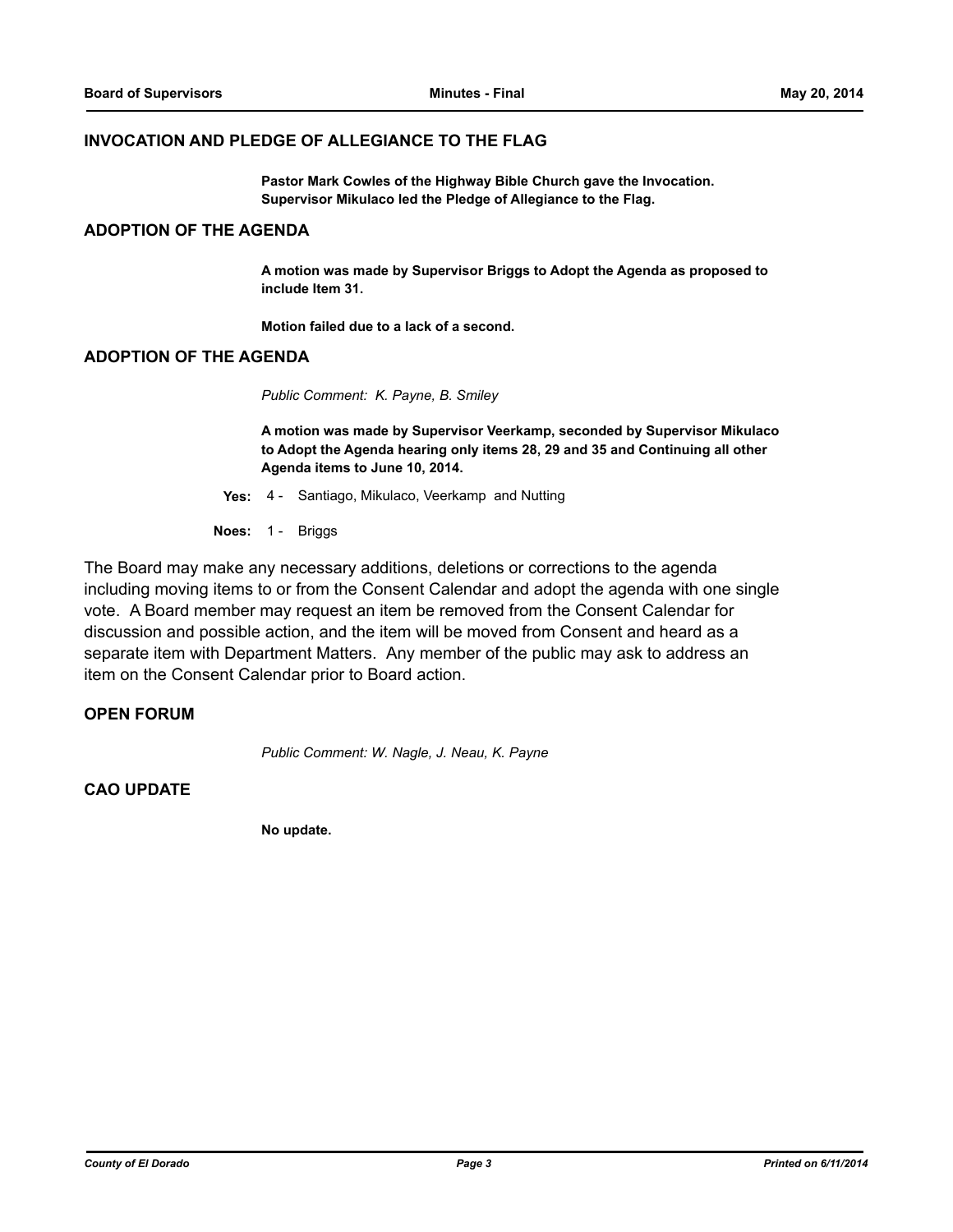#### **INVOCATION AND PLEDGE OF ALLEGIANCE TO THE FLAG**

**Pastor Mark Cowles of the Highway Bible Church gave the Invocation. Supervisor Mikulaco led the Pledge of Allegiance to the Flag.**

## **ADOPTION OF THE AGENDA**

**A motion was made by Supervisor Briggs to Adopt the Agenda as proposed to include Item 31.** 

**Motion failed due to a lack of a second.**

#### **ADOPTION OF THE AGENDA**

*Public Comment: K. Payne, B. Smiley*

**A motion was made by Supervisor Veerkamp, seconded by Supervisor Mikulaco to Adopt the Agenda hearing only items 28, 29 and 35 and Continuing all other Agenda items to June 10, 2014.**

**Yes:** 4 - Santiago, Mikulaco, Veerkamp and Nutting

**Noes:** 1 - Briggs

The Board may make any necessary additions, deletions or corrections to the agenda including moving items to or from the Consent Calendar and adopt the agenda with one single vote. A Board member may request an item be removed from the Consent Calendar for discussion and possible action, and the item will be moved from Consent and heard as a separate item with Department Matters. Any member of the public may ask to address an item on the Consent Calendar prior to Board action.

### **OPEN FORUM**

*Public Comment: W. Nagle, J. Neau, K. Payne*

### **CAO UPDATE**

**No update.**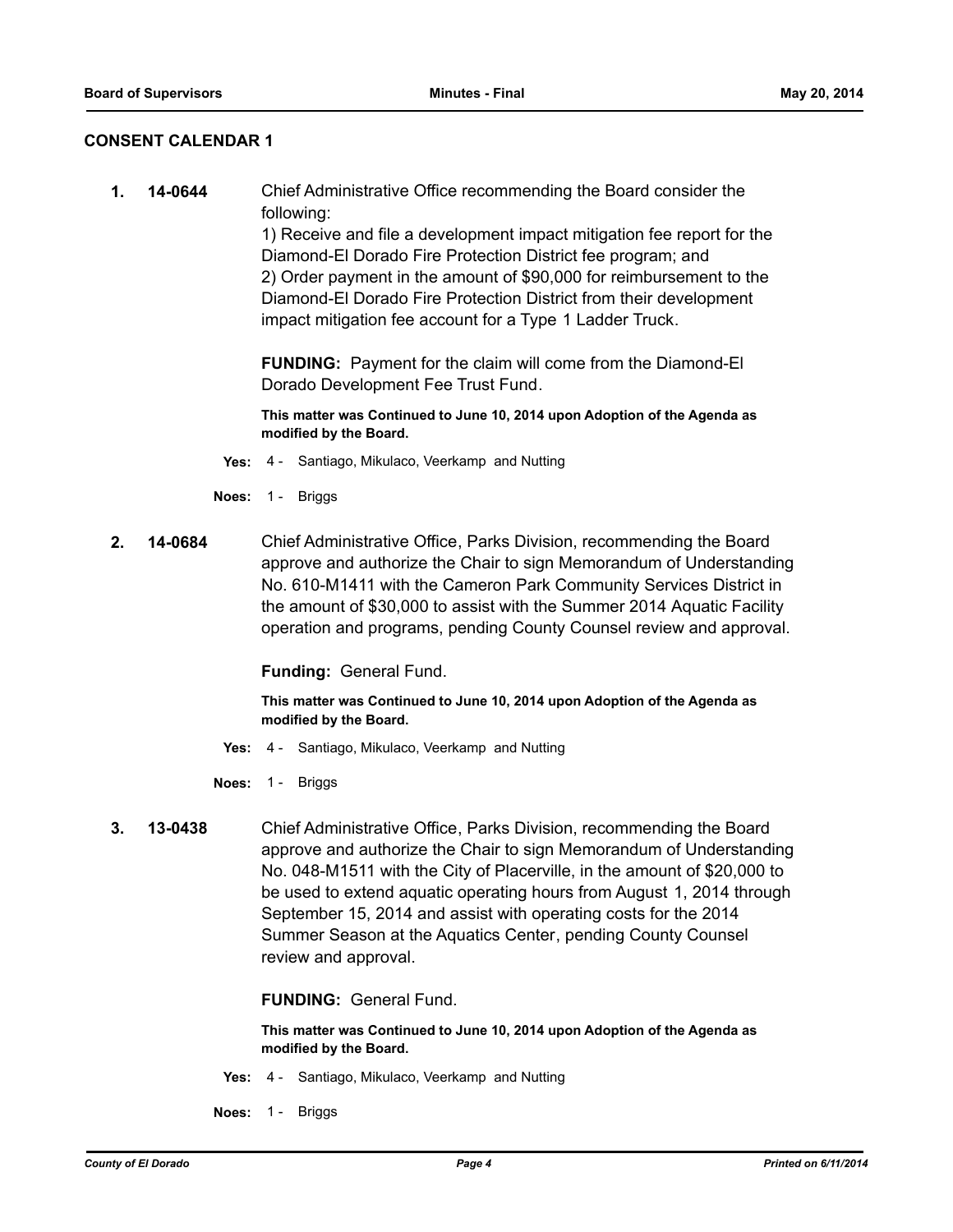## **CONSENT CALENDAR 1**

**1. 14-0644** Chief Administrative Office recommending the Board consider the following:

> 1) Receive and file a development impact mitigation fee report for the Diamond-El Dorado Fire Protection District fee program; and 2) Order payment in the amount of \$90,000 for reimbursement to the Diamond-El Dorado Fire Protection District from their development impact mitigation fee account for a Type 1 Ladder Truck.

**FUNDING:** Payment for the claim will come from the Diamond-El Dorado Development Fee Trust Fund.

**This matter was Continued to June 10, 2014 upon Adoption of the Agenda as modified by the Board.**

- **Yes:** 4 Santiago, Mikulaco, Veerkamp and Nutting
- **Noes:** 1 Briggs
- **2. 14-0684** Chief Administrative Office, Parks Division, recommending the Board approve and authorize the Chair to sign Memorandum of Understanding No. 610-M1411 with the Cameron Park Community Services District in the amount of \$30,000 to assist with the Summer 2014 Aquatic Facility operation and programs, pending County Counsel review and approval.

**Funding:** General Fund.

**This matter was Continued to June 10, 2014 upon Adoption of the Agenda as modified by the Board.**

- **Yes:** 4 Santiago, Mikulaco, Veerkamp and Nutting
- **Noes:** 1 Briggs
- **3. 13-0438** Chief Administrative Office, Parks Division, recommending the Board approve and authorize the Chair to sign Memorandum of Understanding No. 048-M1511 with the City of Placerville, in the amount of \$20,000 to be used to extend aquatic operating hours from August 1, 2014 through September 15, 2014 and assist with operating costs for the 2014 Summer Season at the Aquatics Center, pending County Counsel review and approval.

**FUNDING:** General Fund.

- **Yes:** 4 Santiago, Mikulaco, Veerkamp and Nutting
- **Noes:** 1 Briggs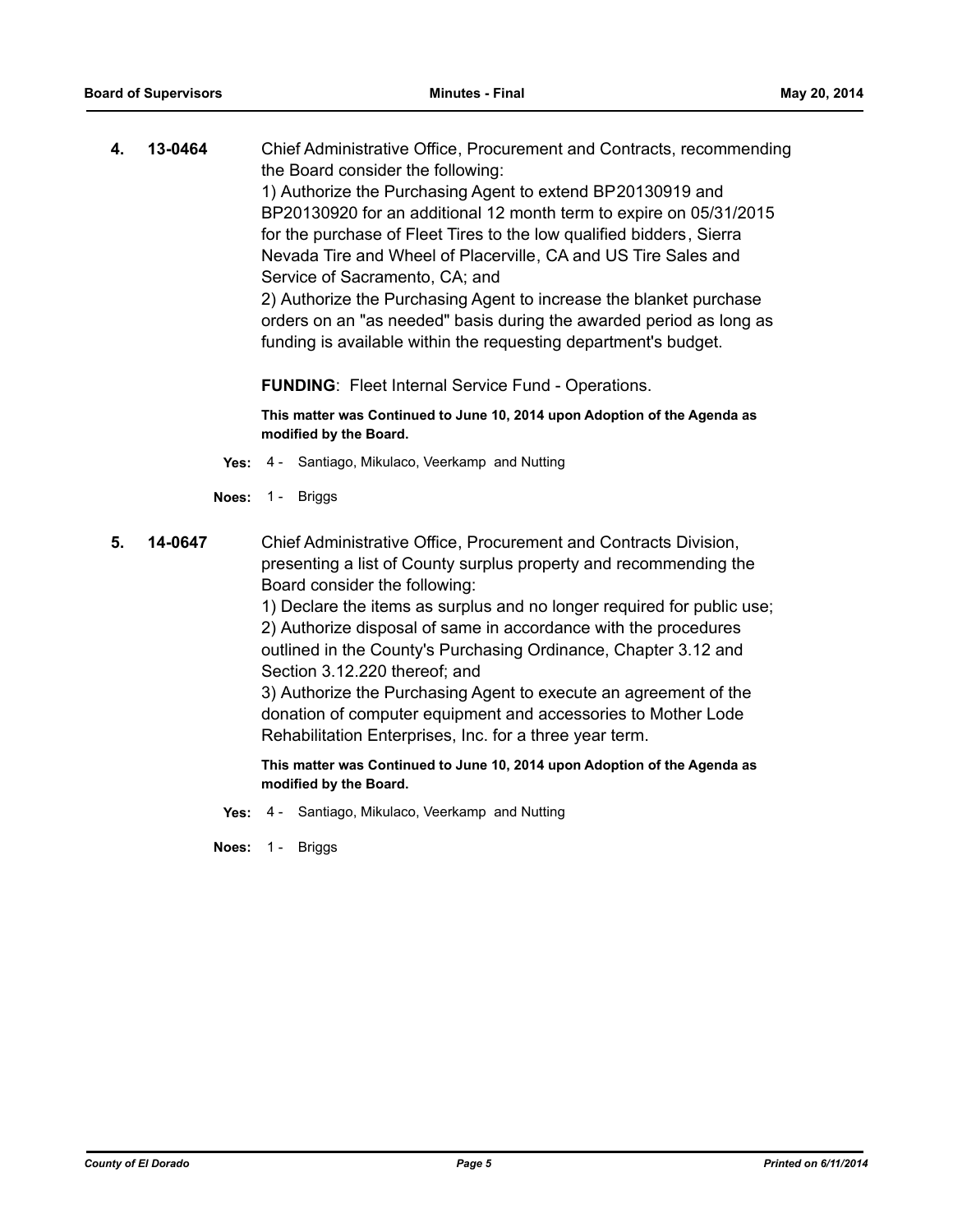**4. 13-0464** Chief Administrative Office, Procurement and Contracts, recommending the Board consider the following: 1) Authorize the Purchasing Agent to extend BP20130919 and BP20130920 for an additional 12 month term to expire on 05/31/2015 for the purchase of Fleet Tires to the low qualified bidders, Sierra Nevada Tire and Wheel of Placerville, CA and US Tire Sales and Service of Sacramento, CA; and 2) Authorize the Purchasing Agent to increase the blanket purchase orders on an "as needed" basis during the awarded period as long as funding is available within the requesting department's budget.

**FUNDING**: Fleet Internal Service Fund - Operations.

**This matter was Continued to June 10, 2014 upon Adoption of the Agenda as modified by the Board.**

- **Yes:** 4 Santiago, Mikulaco, Veerkamp and Nutting
- **Noes:** 1 Briggs
- **5. 14-0647** Chief Administrative Office, Procurement and Contracts Division, presenting a list of County surplus property and recommending the Board consider the following:

1) Declare the items as surplus and no longer required for public use; 2) Authorize disposal of same in accordance with the procedures outlined in the County's Purchasing Ordinance, Chapter 3.12 and Section 3.12.220 thereof; and

3) Authorize the Purchasing Agent to execute an agreement of the donation of computer equipment and accessories to Mother Lode Rehabilitation Enterprises, Inc. for a three year term.

**This matter was Continued to June 10, 2014 upon Adoption of the Agenda as modified by the Board.**

**Yes:** 4 - Santiago, Mikulaco, Veerkamp and Nutting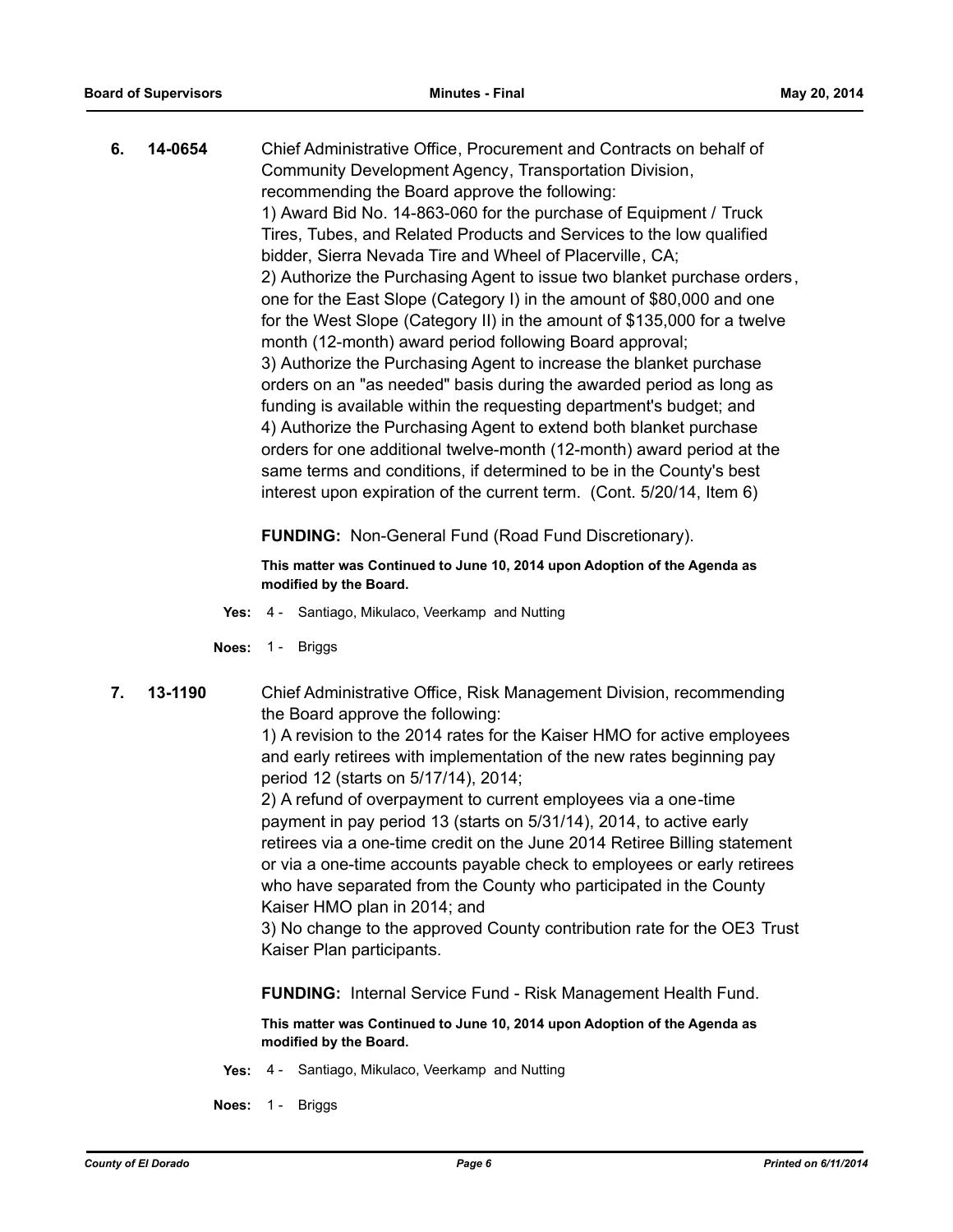**6. 14-0654** Chief Administrative Office, Procurement and Contracts on behalf of Community Development Agency, Transportation Division, recommending the Board approve the following: 1) Award Bid No. 14-863-060 for the purchase of Equipment / Truck Tires, Tubes, and Related Products and Services to the low qualified bidder, Sierra Nevada Tire and Wheel of Placerville, CA; 2) Authorize the Purchasing Agent to issue two blanket purchase orders, one for the East Slope (Category I) in the amount of \$80,000 and one for the West Slope (Category II) in the amount of \$135,000 for a twelve month (12-month) award period following Board approval; 3) Authorize the Purchasing Agent to increase the blanket purchase orders on an "as needed" basis during the awarded period as long as funding is available within the requesting department's budget; and 4) Authorize the Purchasing Agent to extend both blanket purchase orders for one additional twelve-month (12-month) award period at the same terms and conditions, if determined to be in the County's best interest upon expiration of the current term. (Cont. 5/20/14, Item 6)

**FUNDING:** Non-General Fund (Road Fund Discretionary).

**This matter was Continued to June 10, 2014 upon Adoption of the Agenda as modified by the Board.**

- **Yes:** 4 Santiago, Mikulaco, Veerkamp and Nutting
- **Noes:** 1 Briggs
- **7. 13-1190** Chief Administrative Office, Risk Management Division, recommending the Board approve the following:

1) A revision to the 2014 rates for the Kaiser HMO for active employees and early retirees with implementation of the new rates beginning pay period 12 (starts on 5/17/14), 2014;

2) A refund of overpayment to current employees via a one-time payment in pay period 13 (starts on 5/31/14), 2014, to active early retirees via a one-time credit on the June 2014 Retiree Billing statement or via a one-time accounts payable check to employees or early retirees who have separated from the County who participated in the County Kaiser HMO plan in 2014; and

3) No change to the approved County contribution rate for the OE3 Trust Kaiser Plan participants.

**FUNDING:** Internal Service Fund - Risk Management Health Fund.

- **Yes:** 4 Santiago, Mikulaco, Veerkamp and Nutting
- **Noes:** 1 Briggs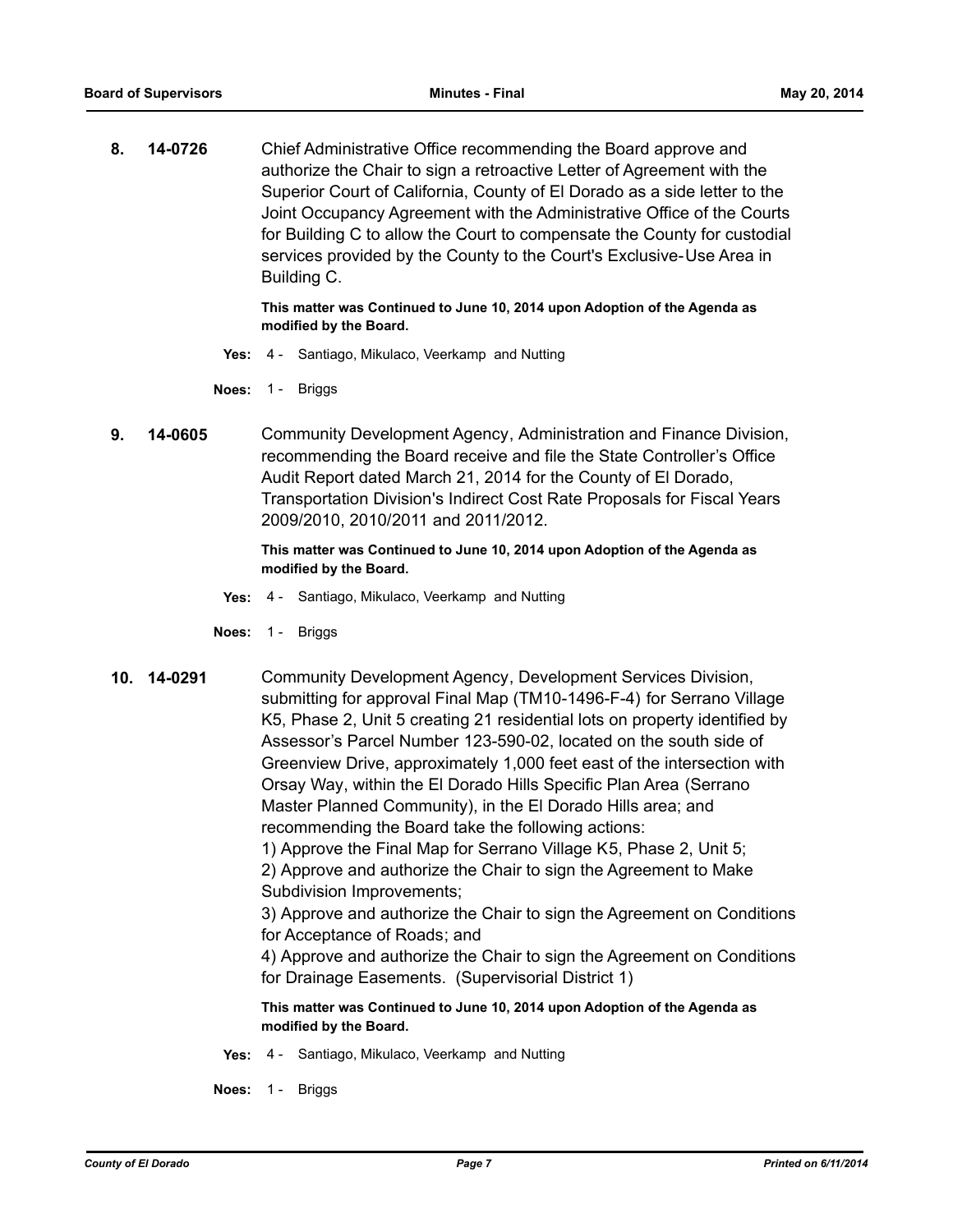**8. 14-0726** Chief Administrative Office recommending the Board approve and authorize the Chair to sign a retroactive Letter of Agreement with the Superior Court of California, County of El Dorado as a side letter to the Joint Occupancy Agreement with the Administrative Office of the Courts for Building C to allow the Court to compensate the County for custodial services provided by the County to the Court's Exclusive-Use Area in Building C.

> **This matter was Continued to June 10, 2014 upon Adoption of the Agenda as modified by the Board.**

- **Yes:** 4 Santiago, Mikulaco, Veerkamp and Nutting
- **Noes:** 1 Briggs
- **9. 14-0605** Community Development Agency, Administration and Finance Division, recommending the Board receive and file the State Controller's Office Audit Report dated March 21, 2014 for the County of El Dorado, Transportation Division's Indirect Cost Rate Proposals for Fiscal Years 2009/2010, 2010/2011 and 2011/2012.

#### **This matter was Continued to June 10, 2014 upon Adoption of the Agenda as modified by the Board.**

- **Yes:** 4 Santiago, Mikulaco, Veerkamp and Nutting
- **Noes:** 1 Briggs
- **10. 14-0291** Community Development Agency, Development Services Division, submitting for approval Final Map (TM10-1496-F-4) for Serrano Village K5, Phase 2, Unit 5 creating 21 residential lots on property identified by Assessor's Parcel Number 123-590-02, located on the south side of Greenview Drive, approximately 1,000 feet east of the intersection with Orsay Way, within the El Dorado Hills Specific Plan Area (Serrano Master Planned Community), in the El Dorado Hills area; and recommending the Board take the following actions:

1) Approve the Final Map for Serrano Village K5, Phase 2, Unit 5; 2) Approve and authorize the Chair to sign the Agreement to Make Subdivision Improvements;

3) Approve and authorize the Chair to sign the Agreement on Conditions for Acceptance of Roads; and

4) Approve and authorize the Chair to sign the Agreement on Conditions for Drainage Easements. (Supervisorial District 1)

- **Yes:** 4 Santiago, Mikulaco, Veerkamp and Nutting
- **Noes:** 1 Briggs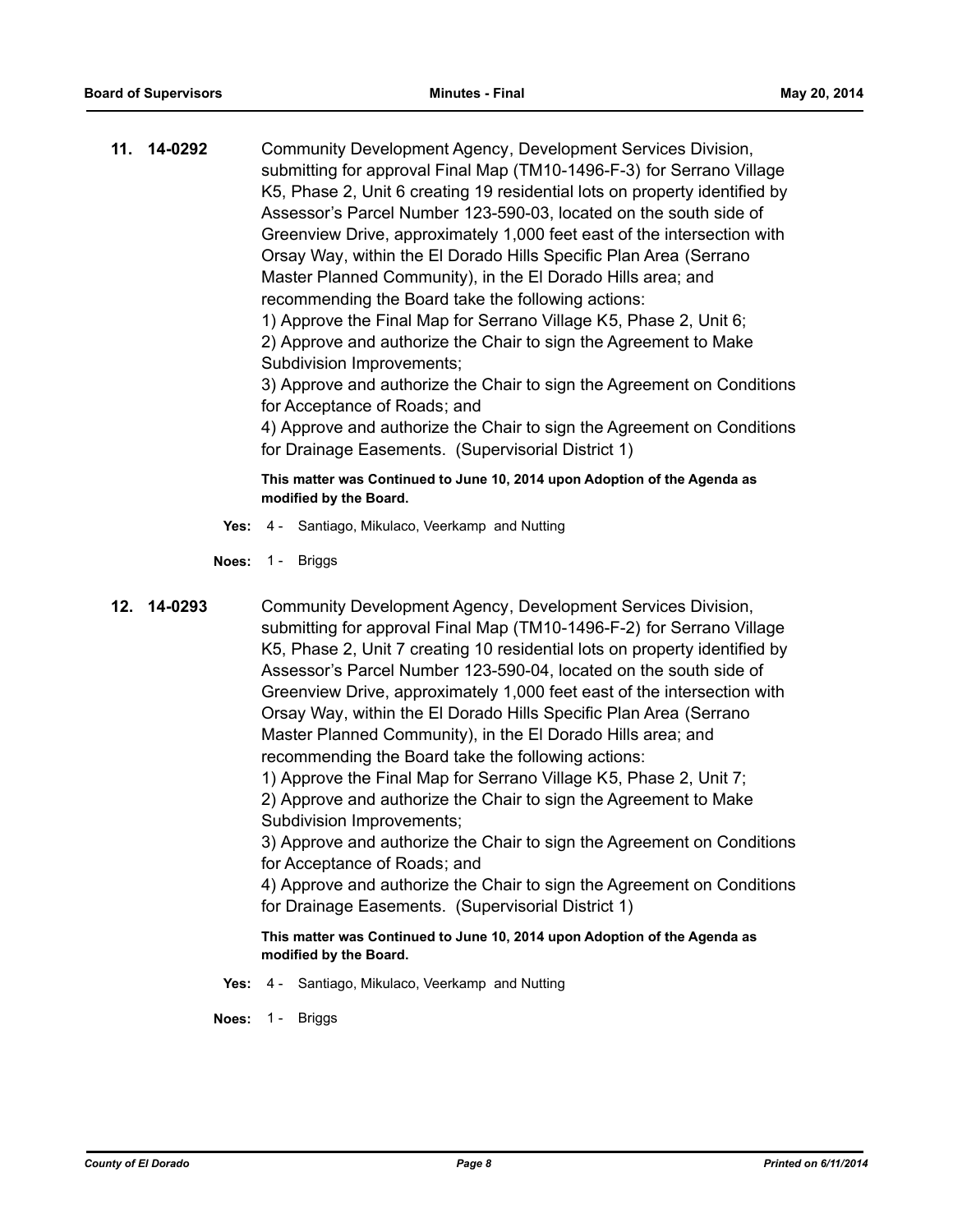**11. 14-0292** Community Development Agency, Development Services Division, submitting for approval Final Map (TM10-1496-F-3) for Serrano Village K5, Phase 2, Unit 6 creating 19 residential lots on property identified by Assessor's Parcel Number 123-590-03, located on the south side of Greenview Drive, approximately 1,000 feet east of the intersection with Orsay Way, within the El Dorado Hills Specific Plan Area (Serrano Master Planned Community), in the El Dorado Hills area; and recommending the Board take the following actions:

> 1) Approve the Final Map for Serrano Village K5, Phase 2, Unit 6; 2) Approve and authorize the Chair to sign the Agreement to Make Subdivision Improvements;

3) Approve and authorize the Chair to sign the Agreement on Conditions for Acceptance of Roads; and

4) Approve and authorize the Chair to sign the Agreement on Conditions for Drainage Easements. (Supervisorial District 1)

**This matter was Continued to June 10, 2014 upon Adoption of the Agenda as modified by the Board.**

- **Yes:** 4 Santiago, Mikulaco, Veerkamp and Nutting
- **Noes:** 1 Briggs
- **12. 14-0293** Community Development Agency, Development Services Division, submitting for approval Final Map (TM10-1496-F-2) for Serrano Village K5, Phase 2, Unit 7 creating 10 residential lots on property identified by Assessor's Parcel Number 123-590-04, located on the south side of Greenview Drive, approximately 1,000 feet east of the intersection with Orsay Way, within the El Dorado Hills Specific Plan Area (Serrano Master Planned Community), in the El Dorado Hills area; and recommending the Board take the following actions:

1) Approve the Final Map for Serrano Village K5, Phase 2, Unit 7;

2) Approve and authorize the Chair to sign the Agreement to Make Subdivision Improvements;

3) Approve and authorize the Chair to sign the Agreement on Conditions for Acceptance of Roads; and

4) Approve and authorize the Chair to sign the Agreement on Conditions for Drainage Easements. (Supervisorial District 1)

**This matter was Continued to June 10, 2014 upon Adoption of the Agenda as modified by the Board.**

**Yes:** 4 - Santiago, Mikulaco, Veerkamp and Nutting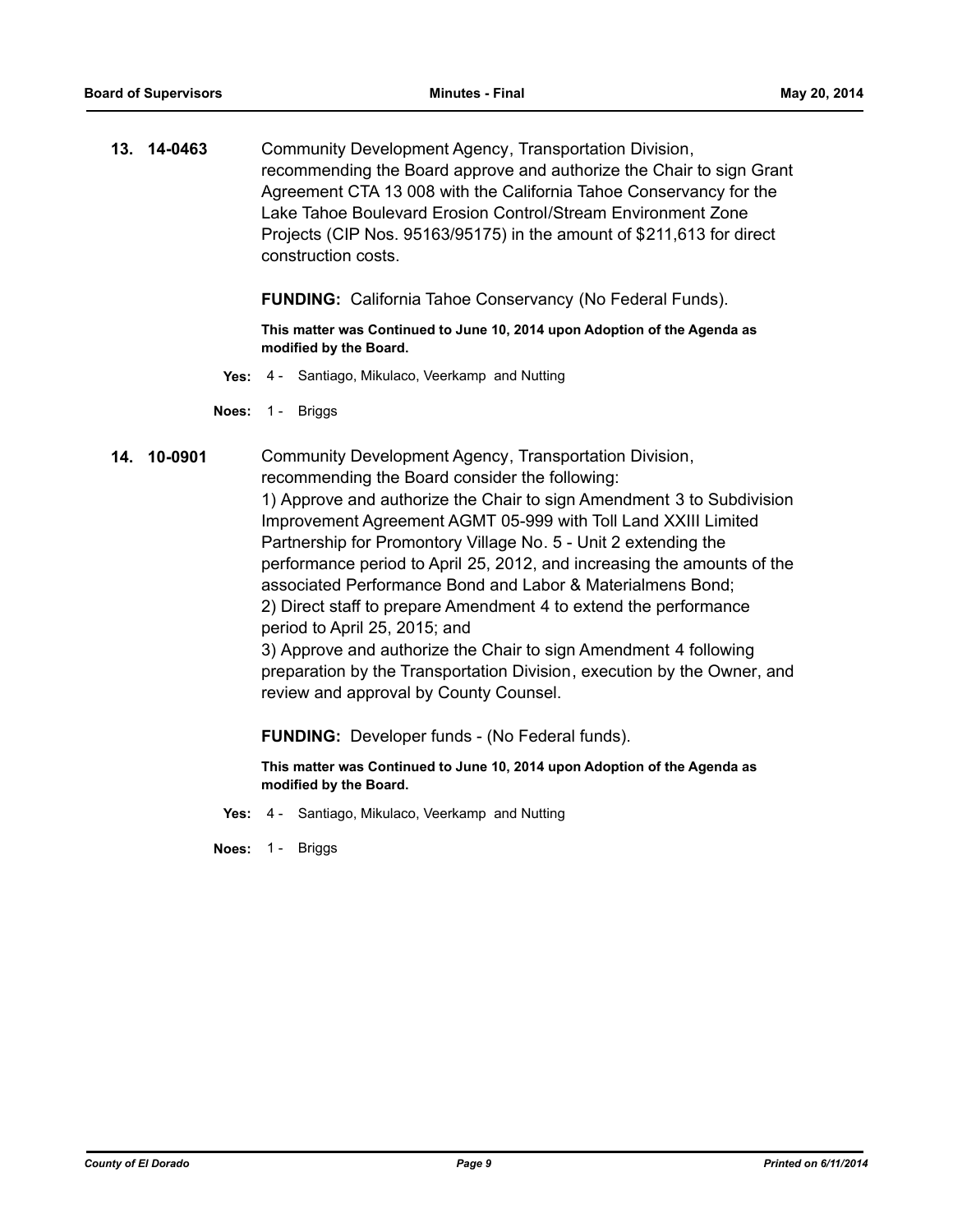**13. 14-0463** Community Development Agency, Transportation Division, recommending the Board approve and authorize the Chair to sign Grant Agreement CTA 13 008 with the California Tahoe Conservancy for the Lake Tahoe Boulevard Erosion Control/Stream Environment Zone Projects (CIP Nos. 95163/95175) in the amount of \$211,613 for direct construction costs.

**FUNDING:** California Tahoe Conservancy (No Federal Funds).

**This matter was Continued to June 10, 2014 upon Adoption of the Agenda as modified by the Board.**

**Yes:** 4 - Santiago, Mikulaco, Veerkamp and Nutting

**Noes:** 1 - Briggs

**14. 10-0901** Community Development Agency, Transportation Division, recommending the Board consider the following: 1) Approve and authorize the Chair to sign Amendment 3 to Subdivision Improvement Agreement AGMT 05-999 with Toll Land XXIII Limited Partnership for Promontory Village No. 5 - Unit 2 extending the performance period to April 25, 2012, and increasing the amounts of the associated Performance Bond and Labor & Materialmens Bond; 2) Direct staff to prepare Amendment 4 to extend the performance period to April 25, 2015; and 3) Approve and authorize the Chair to sign Amendment 4 following

preparation by the Transportation Division, execution by the Owner, and review and approval by County Counsel.

**FUNDING:** Developer funds - (No Federal funds).

**This matter was Continued to June 10, 2014 upon Adoption of the Agenda as modified by the Board.**

**Yes:** 4 - Santiago, Mikulaco, Veerkamp and Nutting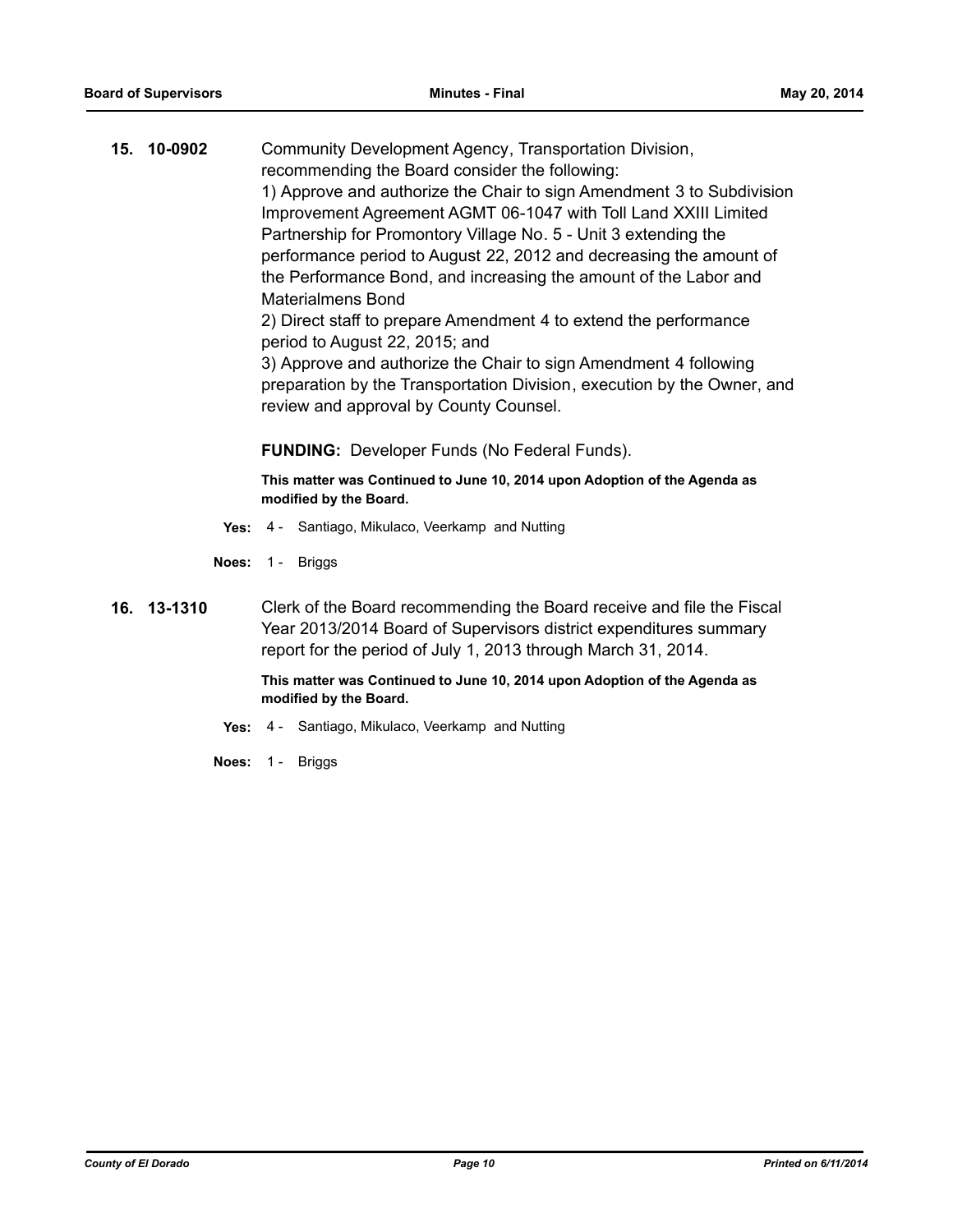**15. 10-0902** Community Development Agency, Transportation Division, recommending the Board consider the following: 1) Approve and authorize the Chair to sign Amendment 3 to Subdivision Improvement Agreement AGMT 06-1047 with Toll Land XXIII Limited Partnership for Promontory Village No. 5 - Unit 3 extending the performance period to August 22, 2012 and decreasing the amount of the Performance Bond, and increasing the amount of the Labor and Materialmens Bond 2) Direct staff to prepare Amendment 4 to extend the performance period to August 22, 2015; and 3) Approve and authorize the Chair to sign Amendment 4 following preparation by the Transportation Division, execution by the Owner, and review and approval by County Counsel.

**FUNDING:** Developer Funds (No Federal Funds).

**This matter was Continued to June 10, 2014 upon Adoption of the Agenda as modified by the Board.**

- **Yes:** 4 Santiago, Mikulaco, Veerkamp and Nutting
- **Noes:** 1 Briggs
- **16. 13-1310** Clerk of the Board recommending the Board receive and file the Fiscal Year 2013/2014 Board of Supervisors district expenditures summary report for the period of July 1, 2013 through March 31, 2014.

- **Yes:** 4 Santiago, Mikulaco, Veerkamp and Nutting
- **Noes:** 1 Briggs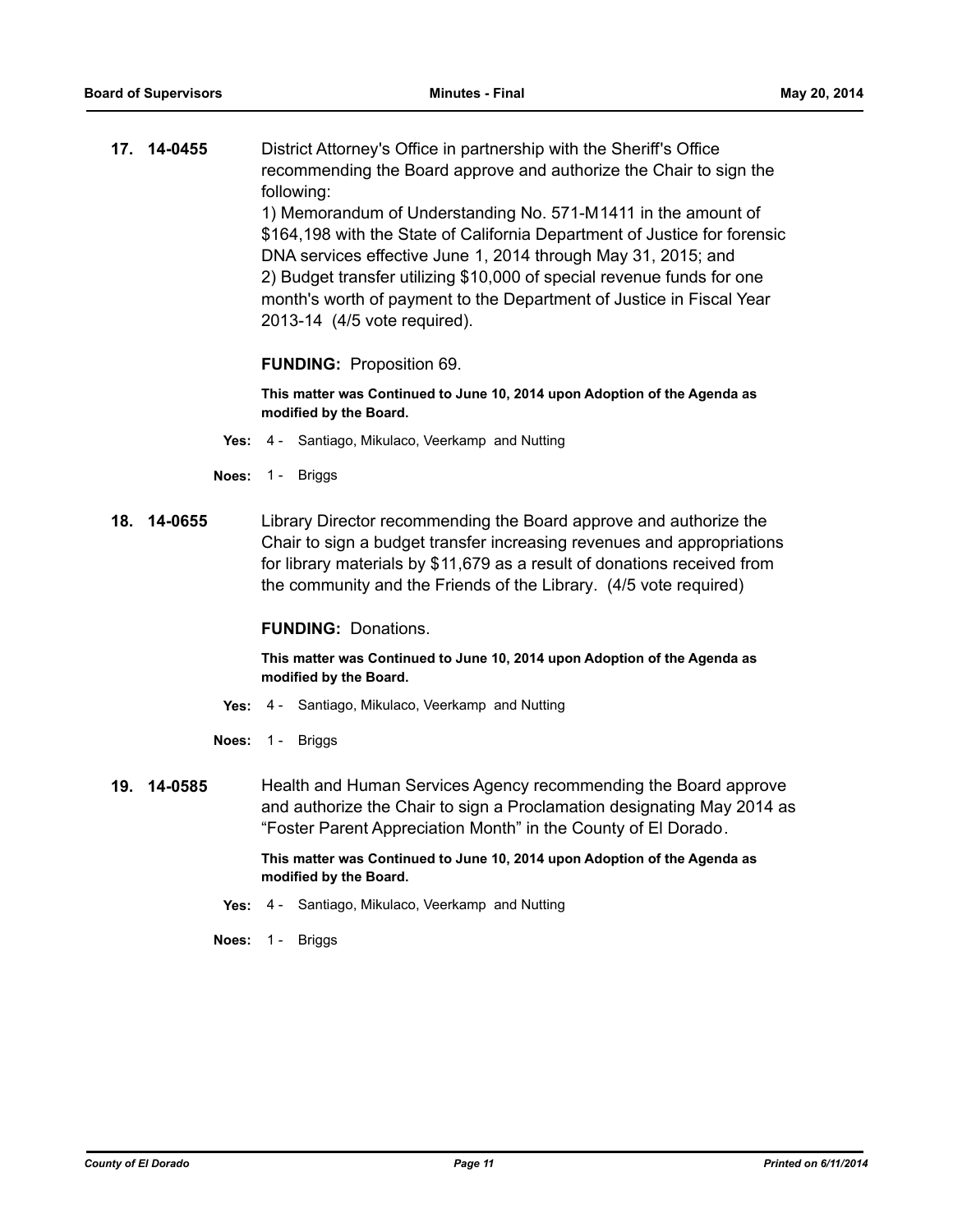**17. 14-0455** District Attorney's Office in partnership with the Sheriff's Office recommending the Board approve and authorize the Chair to sign the following:

1) Memorandum of Understanding No. 571-M1411 in the amount of \$164,198 with the State of California Department of Justice for forensic DNA services effective June 1, 2014 through May 31, 2015; and 2) Budget transfer utilizing \$10,000 of special revenue funds for one month's worth of payment to the Department of Justice in Fiscal Year 2013-14 (4/5 vote required).

#### **FUNDING:** Proposition 69.

**This matter was Continued to June 10, 2014 upon Adoption of the Agenda as modified by the Board.**

- **Yes:** 4 Santiago, Mikulaco, Veerkamp and Nutting
- **Noes:** 1 Briggs
- **18. 14-0655** Library Director recommending the Board approve and authorize the Chair to sign a budget transfer increasing revenues and appropriations for library materials by \$11,679 as a result of donations received from the community and the Friends of the Library. (4/5 vote required)

#### **FUNDING:** Donations.

**This matter was Continued to June 10, 2014 upon Adoption of the Agenda as modified by the Board.**

- **Yes:** 4 Santiago, Mikulaco, Veerkamp and Nutting
- **Noes:** 1 Briggs
- **19. 14-0585** Health and Human Services Agency recommending the Board approve and authorize the Chair to sign a Proclamation designating May 2014 as "Foster Parent Appreciation Month" in the County of El Dorado.

- **Yes:** 4 Santiago, Mikulaco, Veerkamp and Nutting
- **Noes:** 1 Briggs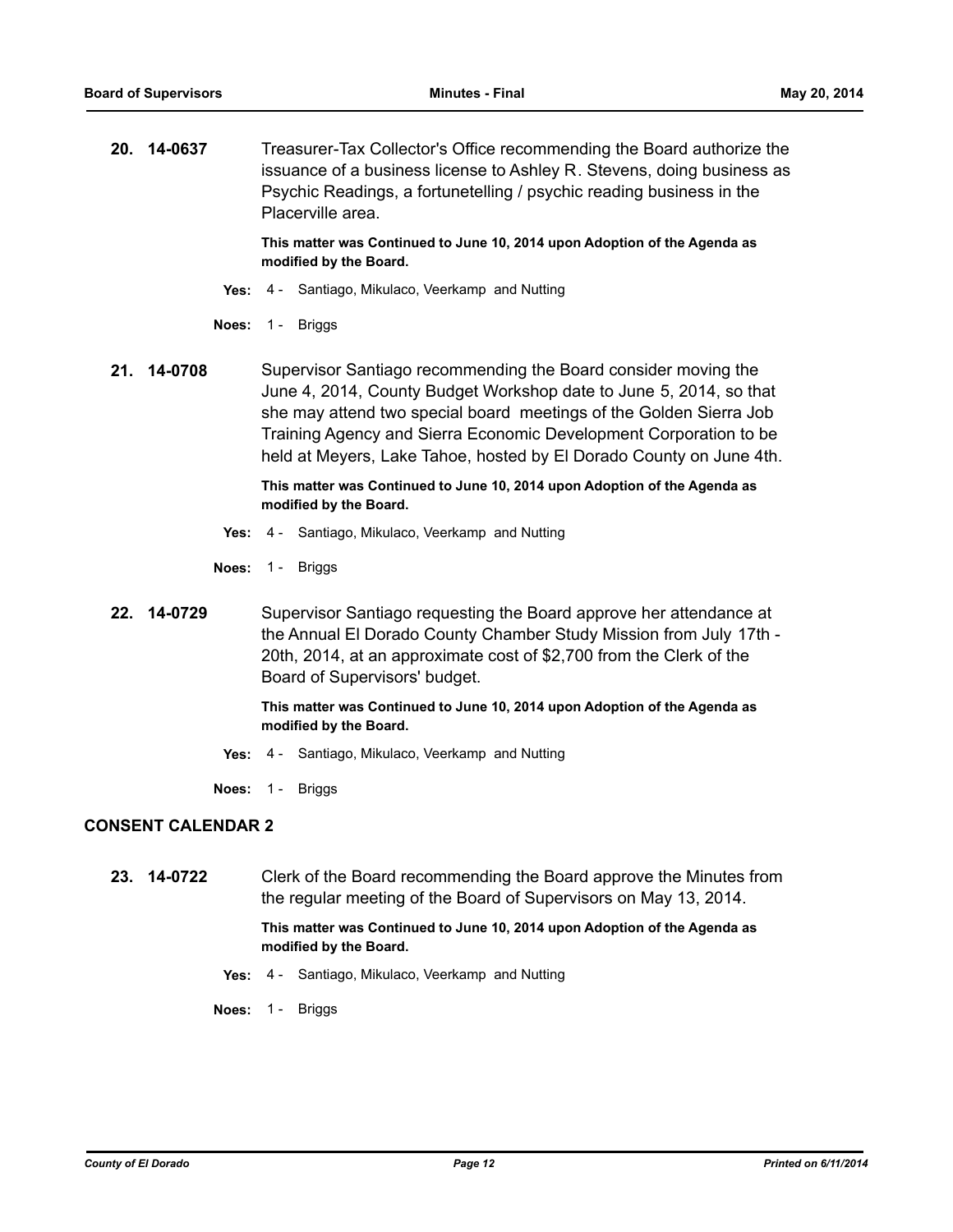**20. 14-0637** Treasurer-Tax Collector's Office recommending the Board authorize the issuance of a business license to Ashley R. Stevens, doing business as Psychic Readings, a fortunetelling / psychic reading business in the Placerville area.

> **This matter was Continued to June 10, 2014 upon Adoption of the Agenda as modified by the Board.**

- **Yes:** 4 Santiago, Mikulaco, Veerkamp and Nutting
- **Noes:** 1 Briggs
- **21. 14-0708** Supervisor Santiago recommending the Board consider moving the June 4, 2014, County Budget Workshop date to June 5, 2014, so that she may attend two special board meetings of the Golden Sierra Job Training Agency and Sierra Economic Development Corporation to be held at Meyers, Lake Tahoe, hosted by El Dorado County on June 4th.

**This matter was Continued to June 10, 2014 upon Adoption of the Agenda as modified by the Board.**

- **Yes:** 4 Santiago, Mikulaco, Veerkamp and Nutting
- **Noes:** 1 Briggs
- **22. 14-0729** Supervisor Santiago requesting the Board approve her attendance at the Annual El Dorado County Chamber Study Mission from July 17th - 20th, 2014, at an approximate cost of \$2,700 from the Clerk of the Board of Supervisors' budget.

#### **This matter was Continued to June 10, 2014 upon Adoption of the Agenda as modified by the Board.**

- **Yes:** 4 Santiago, Mikulaco, Veerkamp and Nutting
- **Noes:** 1 Briggs

### **CONSENT CALENDAR 2**

**23. 14-0722** Clerk of the Board recommending the Board approve the Minutes from the regular meeting of the Board of Supervisors on May 13, 2014.

- **Yes:** 4 Santiago, Mikulaco, Veerkamp and Nutting
- **Noes:** 1 Briggs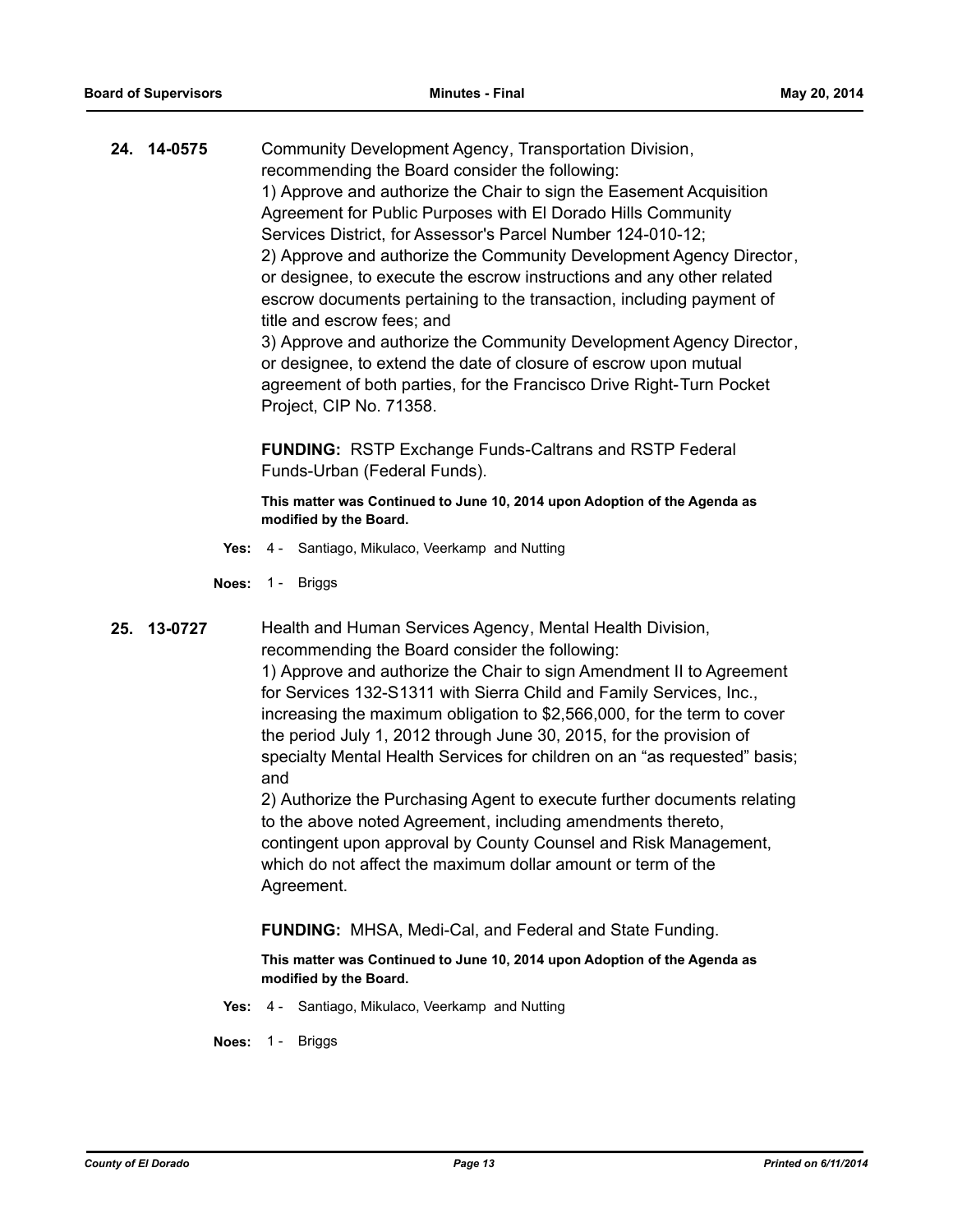**24. 14-0575** Community Development Agency, Transportation Division, recommending the Board consider the following: 1) Approve and authorize the Chair to sign the Easement Acquisition Agreement for Public Purposes with El Dorado Hills Community Services District, for Assessor's Parcel Number 124-010-12; 2) Approve and authorize the Community Development Agency Director, or designee, to execute the escrow instructions and any other related escrow documents pertaining to the transaction, including payment of title and escrow fees; and 3) Approve and authorize the Community Development Agency Director, or designee, to extend the date of closure of escrow upon mutual

agreement of both parties, for the Francisco Drive Right-Turn Pocket Project, CIP No. 71358.

**FUNDING:** RSTP Exchange Funds-Caltrans and RSTP Federal Funds-Urban (Federal Funds).

**This matter was Continued to June 10, 2014 upon Adoption of the Agenda as modified by the Board.**

- **Yes:** 4 Santiago, Mikulaco, Veerkamp and Nutting
- **Noes:** 1 Briggs
- 

**25. 13-0727** Health and Human Services Agency, Mental Health Division, recommending the Board consider the following: 1) Approve and authorize the Chair to sign Amendment II to Agreement for Services 132-S1311 with Sierra Child and Family Services, Inc., increasing the maximum obligation to \$2,566,000, for the term to cover the period July 1, 2012 through June 30, 2015, for the provision of specialty Mental Health Services for children on an "as requested" basis; and

> 2) Authorize the Purchasing Agent to execute further documents relating to the above noted Agreement, including amendments thereto, contingent upon approval by County Counsel and Risk Management, which do not affect the maximum dollar amount or term of the Agreement.

**FUNDING:** MHSA, Medi-Cal, and Federal and State Funding.

**This matter was Continued to June 10, 2014 upon Adoption of the Agenda as modified by the Board.**

**Yes:** 4 - Santiago, Mikulaco, Veerkamp and Nutting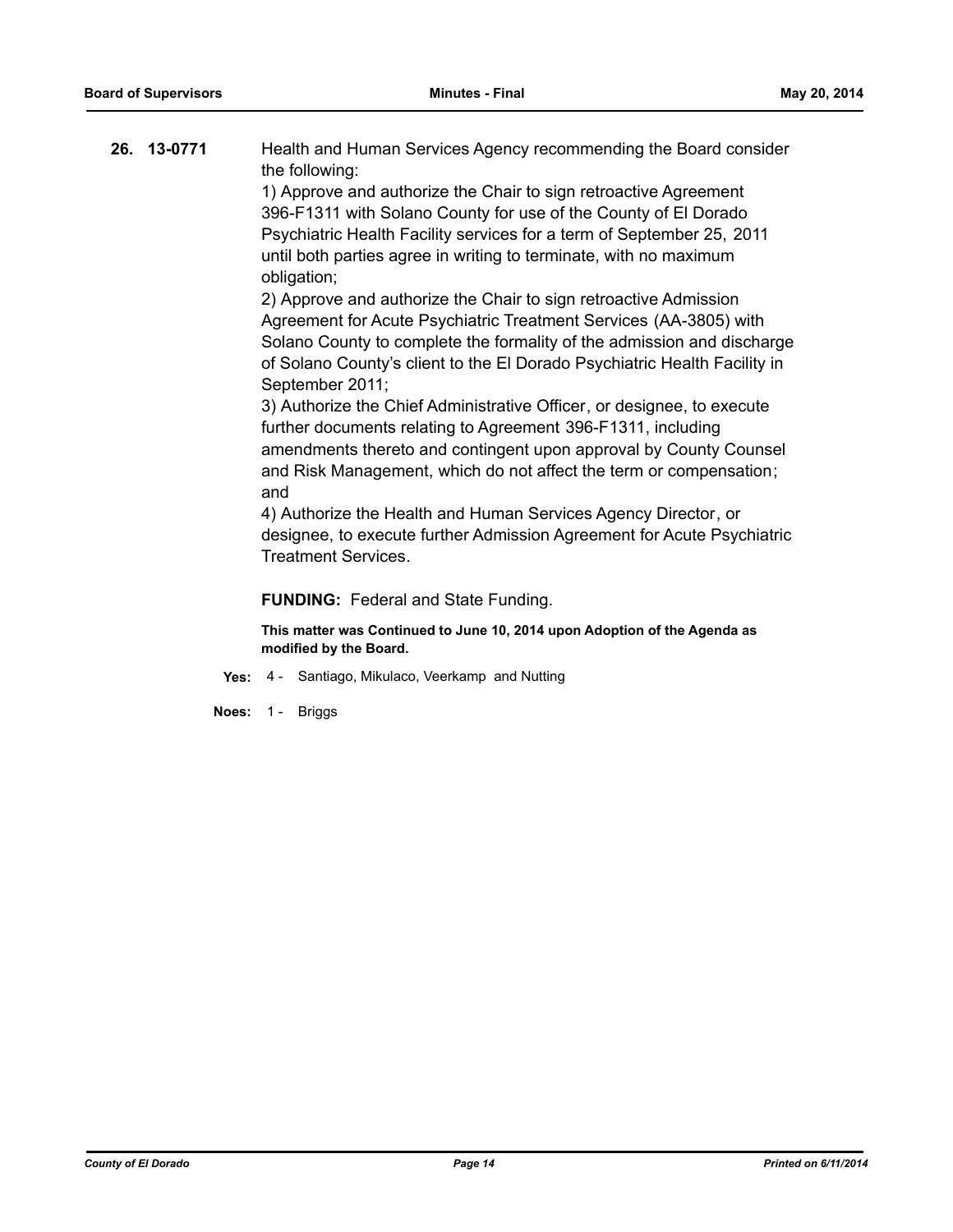| 26. 13-0771 | Health and Human Services Agency recommending the Board consider |  |
|-------------|------------------------------------------------------------------|--|
|             | the following:                                                   |  |
|             | 1) Approve and authorize the Chair to sign retroactive Agreement |  |

396-F1311 with Solano County for use of the County of El Dorado Psychiatric Health Facility services for a term of September 25, 2011 until both parties agree in writing to terminate, with no maximum obligation;

2) Approve and authorize the Chair to sign retroactive Admission Agreement for Acute Psychiatric Treatment Services (AA-3805) with Solano County to complete the formality of the admission and discharge of Solano County's client to the El Dorado Psychiatric Health Facility in September 2011;

3) Authorize the Chief Administrative Officer, or designee, to execute further documents relating to Agreement 396-F1311, including amendments thereto and contingent upon approval by County Counsel and Risk Management, which do not affect the term or compensation; and

4) Authorize the Health and Human Services Agency Director, or designee, to execute further Admission Agreement for Acute Psychiatric Treatment Services.

## **FUNDING:** Federal and State Funding.

- **Yes:** 4 Santiago, Mikulaco, Veerkamp and Nutting
- **Noes:** 1 Briggs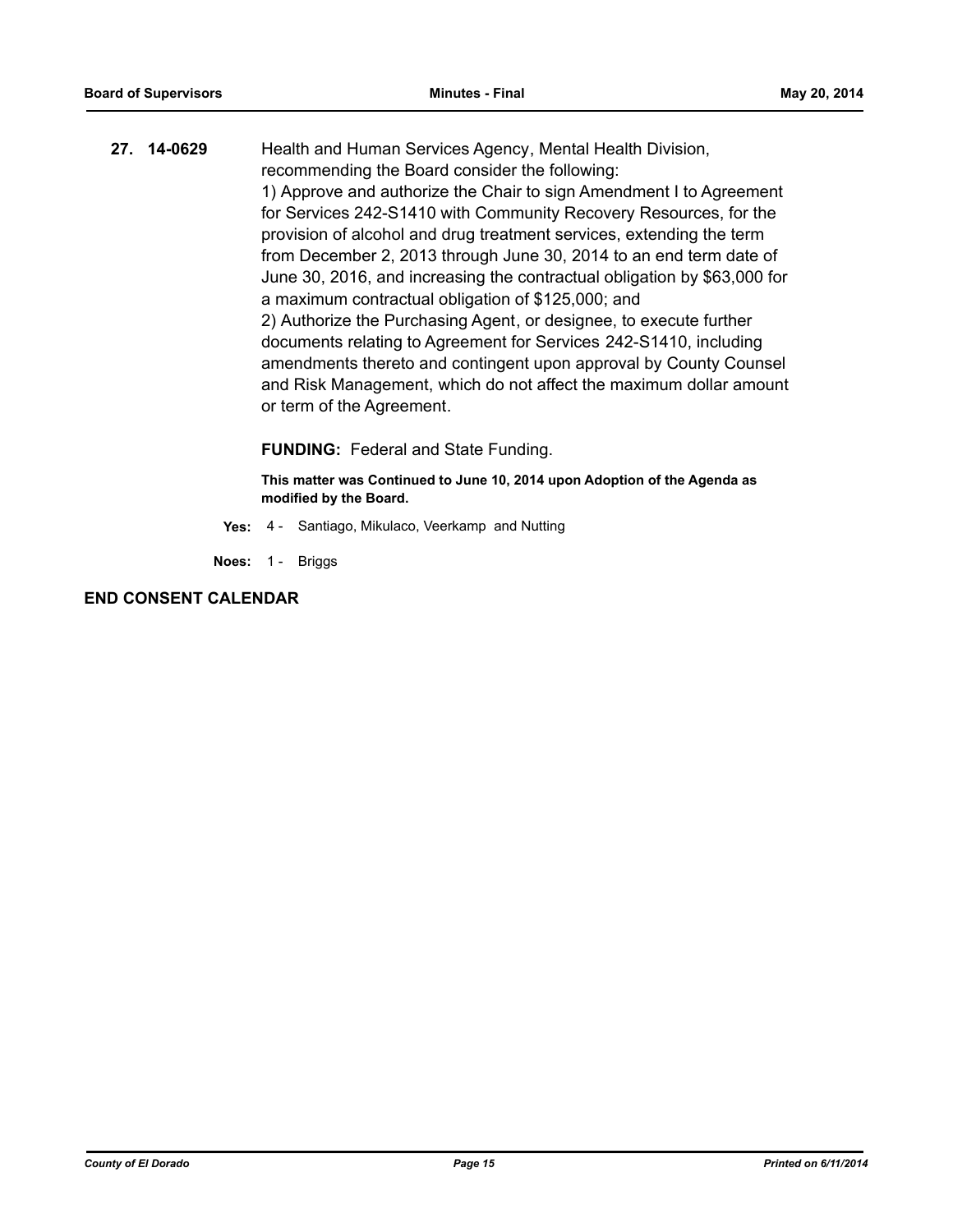**27. 14-0629** Health and Human Services Agency, Mental Health Division, recommending the Board consider the following: 1) Approve and authorize the Chair to sign Amendment I to Agreement for Services 242-S1410 with Community Recovery Resources, for the provision of alcohol and drug treatment services, extending the term from December 2, 2013 through June 30, 2014 to an end term date of June 30, 2016, and increasing the contractual obligation by \$63,000 for a maximum contractual obligation of \$125,000; and 2) Authorize the Purchasing Agent, or designee, to execute further documents relating to Agreement for Services 242-S1410, including amendments thereto and contingent upon approval by County Counsel and Risk Management, which do not affect the maximum dollar amount or term of the Agreement.

## **FUNDING:** Federal and State Funding.

**This matter was Continued to June 10, 2014 upon Adoption of the Agenda as modified by the Board.**

- **Yes:** 4 Santiago, Mikulaco, Veerkamp and Nutting
- **Noes:** 1 Briggs

## **END CONSENT CALENDAR**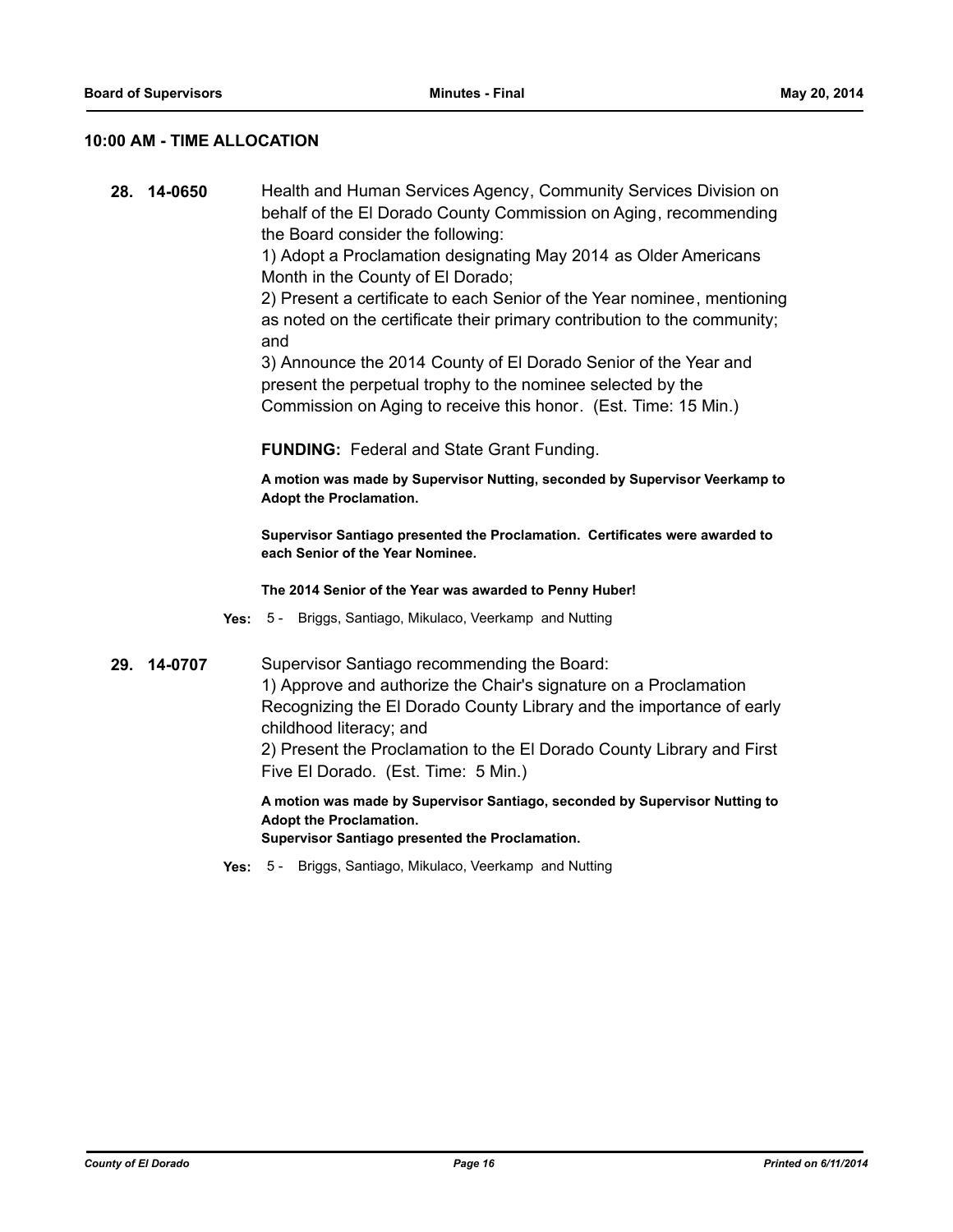## **10:00 AM - TIME ALLOCATION**

**28. 14-0650** Health and Human Services Agency, Community Services Division on behalf of the El Dorado County Commission on Aging, recommending the Board consider the following:

> 1) Adopt a Proclamation designating May 2014 as Older Americans Month in the County of El Dorado;

2) Present a certificate to each Senior of the Year nominee, mentioning as noted on the certificate their primary contribution to the community; and

3) Announce the 2014 County of El Dorado Senior of the Year and present the perpetual trophy to the nominee selected by the Commission on Aging to receive this honor. (Est. Time: 15 Min.)

**FUNDING:** Federal and State Grant Funding.

**A motion was made by Supervisor Nutting, seconded by Supervisor Veerkamp to Adopt the Proclamation.** 

**Supervisor Santiago presented the Proclamation. Certificates were awarded to each Senior of the Year Nominee.**

**The 2014 Senior of the Year was awarded to Penny Huber!**

- **Yes:** 5 Briggs, Santiago, Mikulaco, Veerkamp and Nutting
- **29. 14-0707** Supervisor Santiago recommending the Board: 1) Approve and authorize the Chair's signature on a Proclamation Recognizing the El Dorado County Library and the importance of early childhood literacy; and

2) Present the Proclamation to the El Dorado County Library and First Five El Dorado. (Est. Time: 5 Min.)

**A motion was made by Supervisor Santiago, seconded by Supervisor Nutting to Adopt the Proclamation.**

**Supervisor Santiago presented the Proclamation.**

**Yes:** 5 - Briggs, Santiago, Mikulaco, Veerkamp and Nutting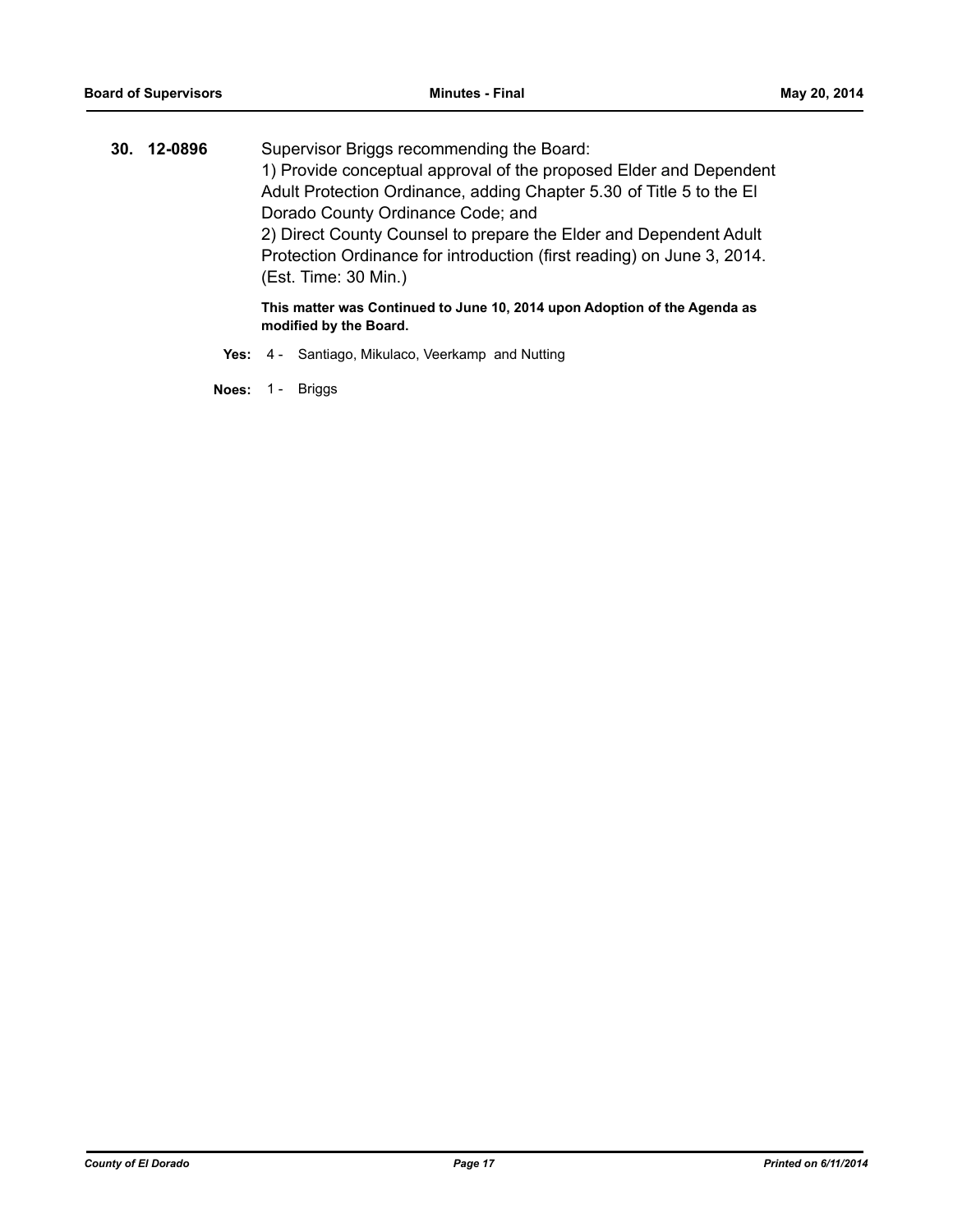**30. 12-0896** Supervisor Briggs recommending the Board: 1) Provide conceptual approval of the proposed Elder and Dependent Adult Protection Ordinance, adding Chapter 5.30 of Title 5 to the El Dorado County Ordinance Code; and 2) Direct County Counsel to prepare the Elder and Dependent Adult Protection Ordinance for introduction (first reading) on June 3, 2014. (Est. Time: 30 Min.)

**This matter was Continued to June 10, 2014 upon Adoption of the Agenda as modified by the Board.**

Yes: 4 - Santiago, Mikulaco, Veerkamp and Nutting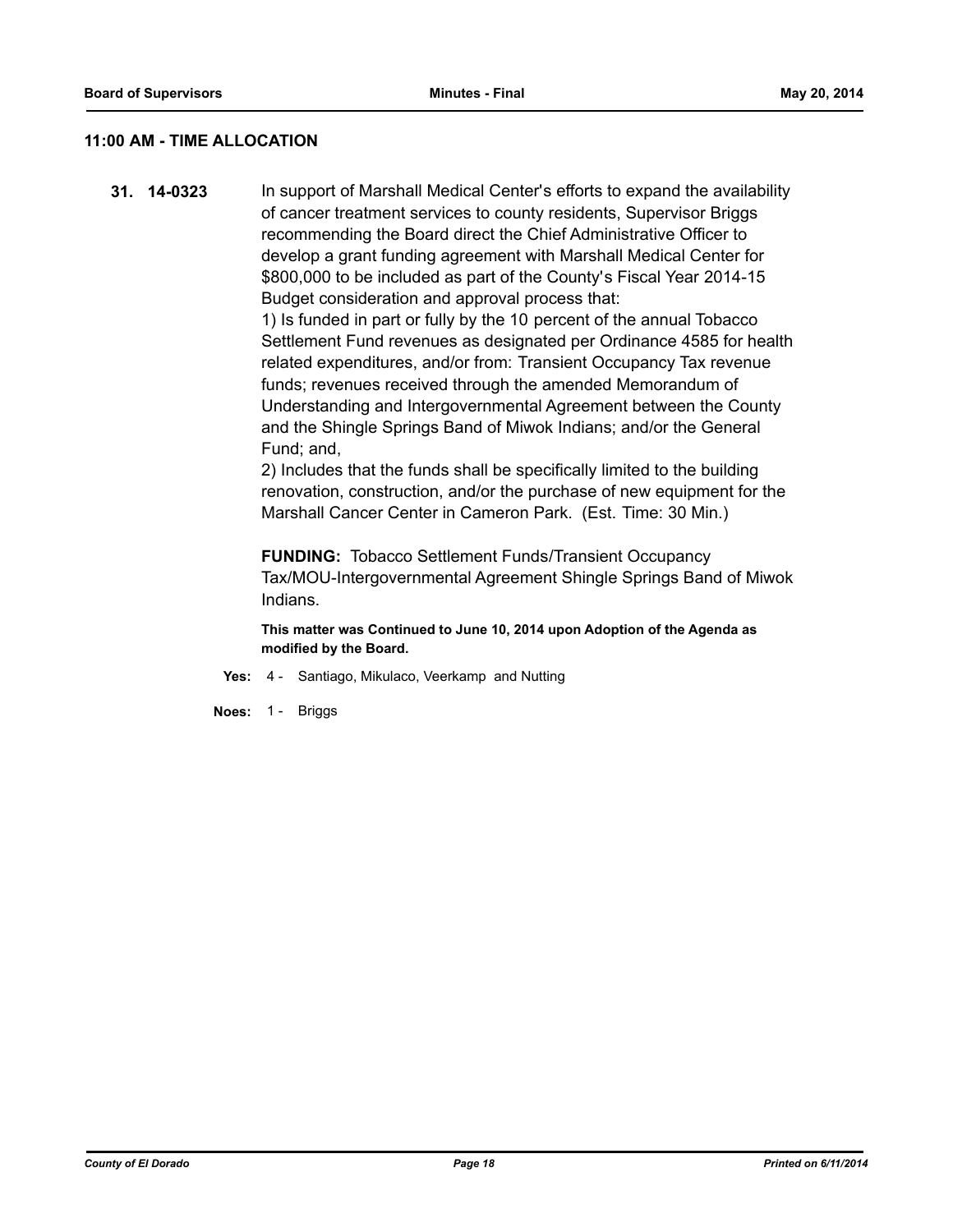## **11:00 AM - TIME ALLOCATION**

**31. 14-0323** In support of Marshall Medical Center's efforts to expand the availability of cancer treatment services to county residents, Supervisor Briggs recommending the Board direct the Chief Administrative Officer to develop a grant funding agreement with Marshall Medical Center for \$800,000 to be included as part of the County's Fiscal Year 2014-15 Budget consideration and approval process that:

> 1) Is funded in part or fully by the 10 percent of the annual Tobacco Settlement Fund revenues as designated per Ordinance 4585 for health related expenditures, and/or from: Transient Occupancy Tax revenue funds; revenues received through the amended Memorandum of Understanding and Intergovernmental Agreement between the County and the Shingle Springs Band of Miwok Indians; and/or the General Fund; and,

> 2) Includes that the funds shall be specifically limited to the building renovation, construction, and/or the purchase of new equipment for the Marshall Cancer Center in Cameron Park. (Est. Time: 30 Min.)

**FUNDING:** Tobacco Settlement Funds/Transient Occupancy Tax/MOU-Intergovernmental Agreement Shingle Springs Band of Miwok Indians.

- **Yes:** 4 Santiago, Mikulaco, Veerkamp and Nutting
- **Noes:** 1 Briggs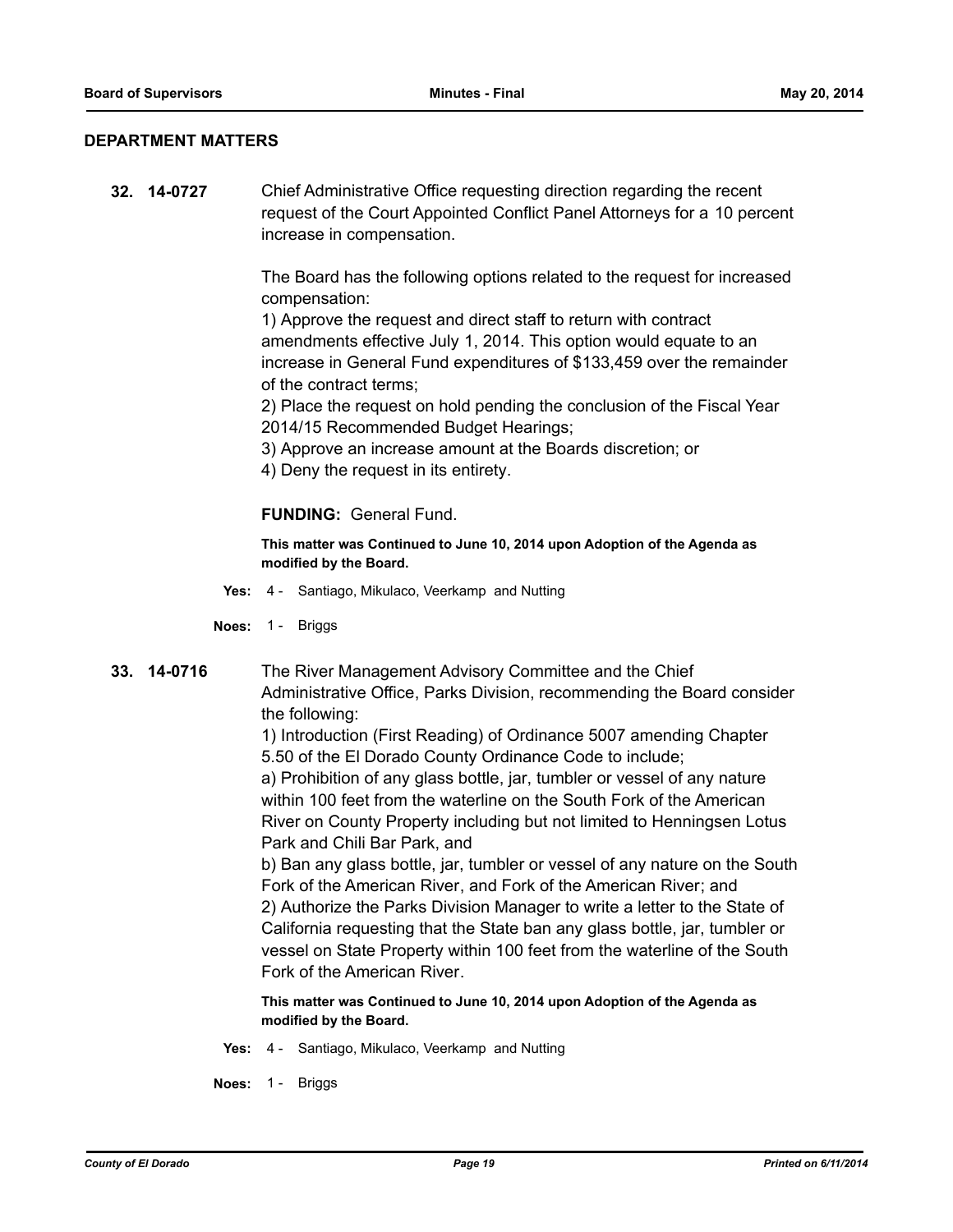## **DEPARTMENT MATTERS**

**32. 14-0727** Chief Administrative Office requesting direction regarding the recent request of the Court Appointed Conflict Panel Attorneys for a 10 percent increase in compensation.

> The Board has the following options related to the request for increased compensation:

> 1) Approve the request and direct staff to return with contract amendments effective July 1, 2014. This option would equate to an increase in General Fund expenditures of \$133,459 over the remainder of the contract terms;

2) Place the request on hold pending the conclusion of the Fiscal Year 2014/15 Recommended Budget Hearings;

- 3) Approve an increase amount at the Boards discretion; or
- 4) Deny the request in its entirety.

## **FUNDING:** General Fund.

**This matter was Continued to June 10, 2014 upon Adoption of the Agenda as modified by the Board.**

- **Yes:** 4 Santiago, Mikulaco, Veerkamp and Nutting
- **Noes:** 1 Briggs
- **33. 14-0716** The River Management Advisory Committee and the Chief Administrative Office, Parks Division, recommending the Board consider the following:

1) Introduction (First Reading) of Ordinance 5007 amending Chapter 5.50 of the El Dorado County Ordinance Code to include;

a) Prohibition of any glass bottle, jar, tumbler or vessel of any nature within 100 feet from the waterline on the South Fork of the American River on County Property including but not limited to Henningsen Lotus Park and Chili Bar Park, and

b) Ban any glass bottle, jar, tumbler or vessel of any nature on the South Fork of the American River, and Fork of the American River; and 2) Authorize the Parks Division Manager to write a letter to the State of California requesting that the State ban any glass bottle, jar, tumbler or vessel on State Property within 100 feet from the waterline of the South Fork of the American River.

- **Yes:** 4 Santiago, Mikulaco, Veerkamp and Nutting
- **Noes:** 1 Briggs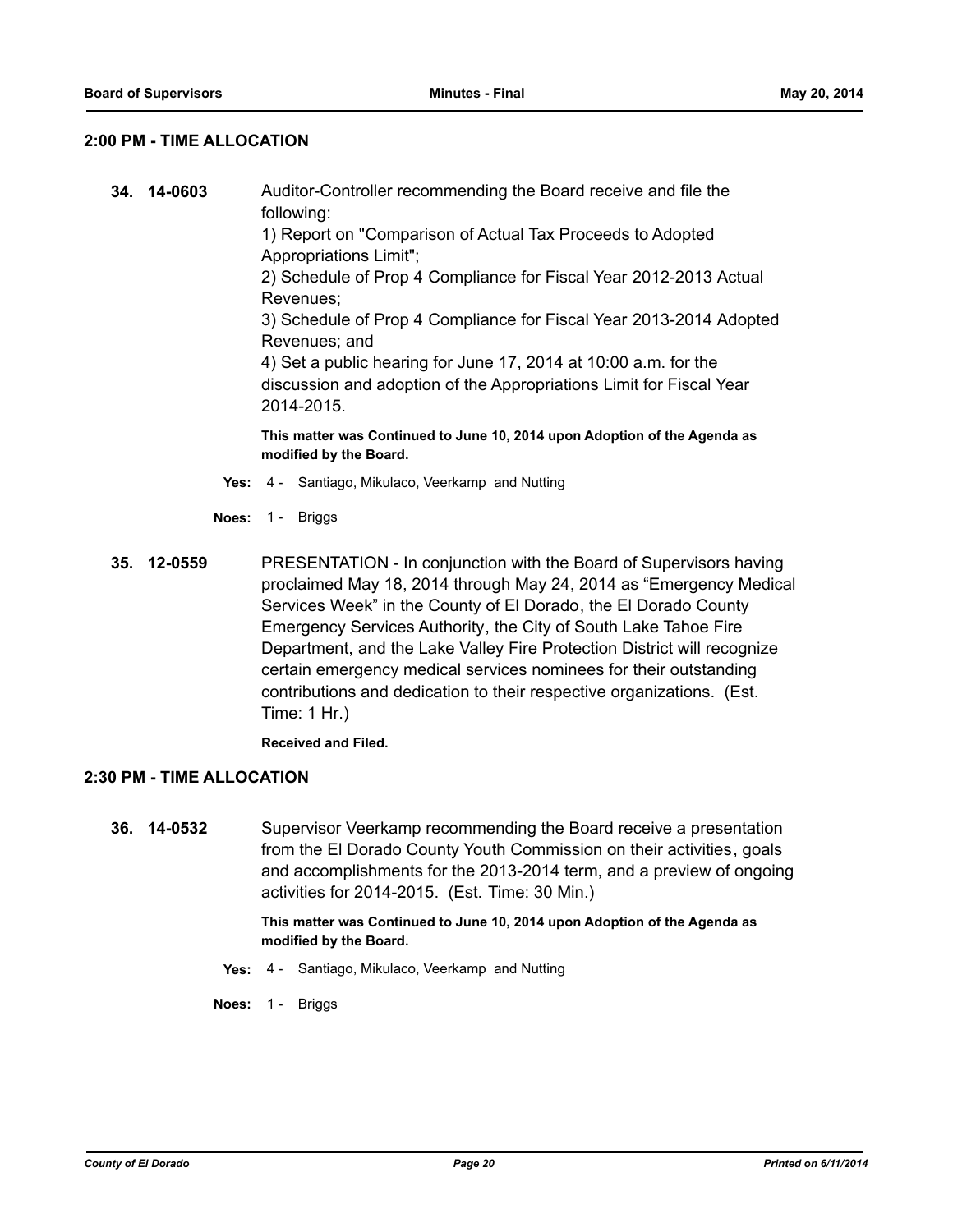## **2:00 PM - TIME ALLOCATION**

**34. 14-0603** Auditor-Controller recommending the Board receive and file the following: 1) Report on "Comparison of Actual Tax Proceeds to Adopted Appropriations Limit"; 2) Schedule of Prop 4 Compliance for Fiscal Year 2012-2013 Actual Revenues; 3) Schedule of Prop 4 Compliance for Fiscal Year 2013-2014 Adopted Revenues; and 4) Set a public hearing for June 17, 2014 at 10:00 a.m. for the discussion and adoption of the Appropriations Limit for Fiscal Year 2014-2015.

**This matter was Continued to June 10, 2014 upon Adoption of the Agenda as modified by the Board.**

- **Yes:** 4 Santiago, Mikulaco, Veerkamp and Nutting
- **Noes:** 1 Briggs
- **35. 12-0559** PRESENTATION In conjunction with the Board of Supervisors having proclaimed May 18, 2014 through May 24, 2014 as "Emergency Medical Services Week" in the County of El Dorado, the El Dorado County Emergency Services Authority, the City of South Lake Tahoe Fire Department, and the Lake Valley Fire Protection District will recognize certain emergency medical services nominees for their outstanding contributions and dedication to their respective organizations. (Est. Time: 1 Hr.)

**Received and Filed.**

#### **2:30 PM - TIME ALLOCATION**

**36. 14-0532** Supervisor Veerkamp recommending the Board receive a presentation from the El Dorado County Youth Commission on their activities, goals and accomplishments for the 2013-2014 term, and a preview of ongoing activities for 2014-2015. (Est. Time: 30 Min.)

- **Yes:** 4 Santiago, Mikulaco, Veerkamp and Nutting
- **Noes:** 1 Briggs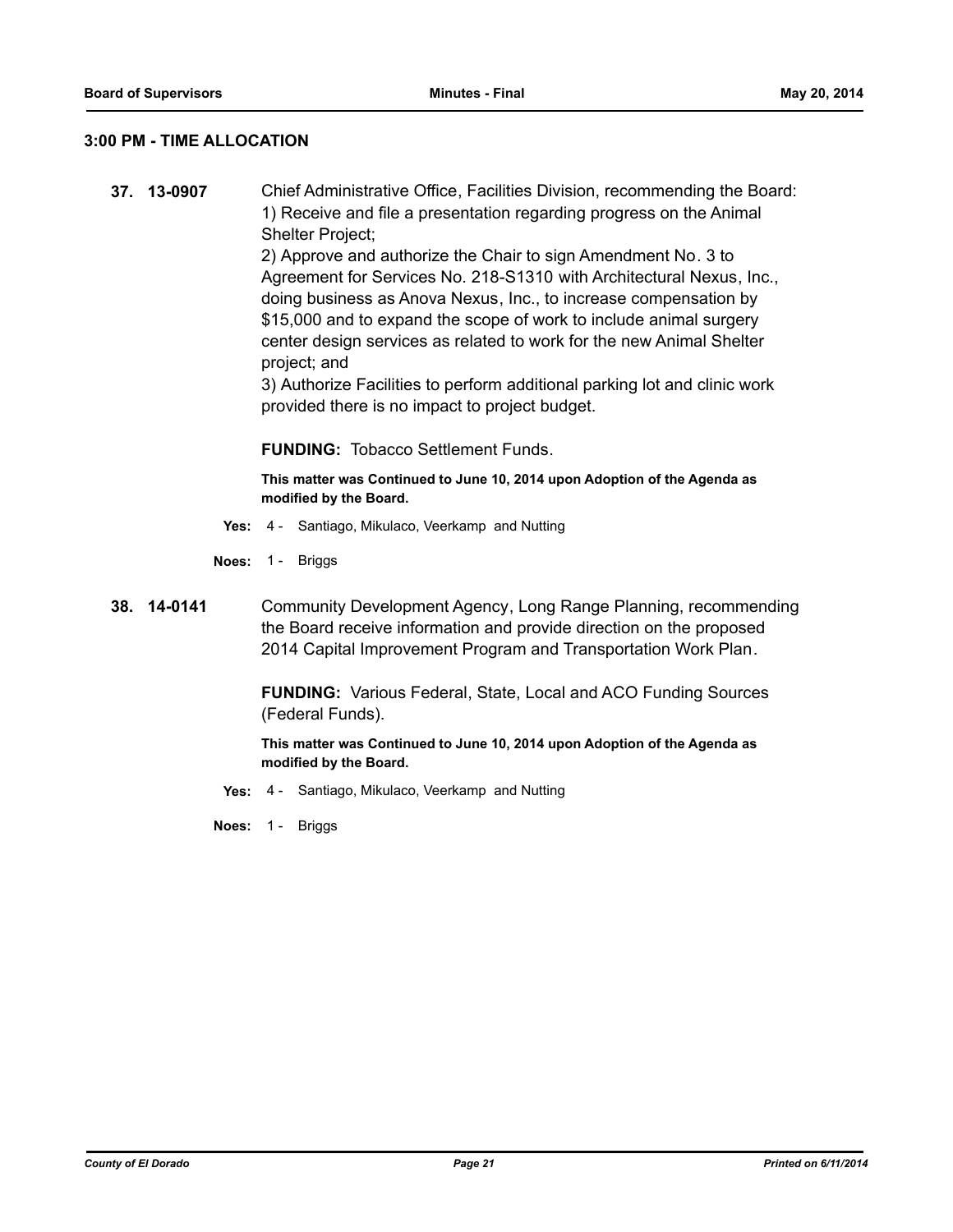## **3:00 PM - TIME ALLOCATION**

**37. 13-0907** Chief Administrative Office, Facilities Division, recommending the Board: 1) Receive and file a presentation regarding progress on the Animal Shelter Project; 2) Approve and authorize the Chair to sign Amendment No. 3 to

Agreement for Services No. 218-S1310 with Architectural Nexus, Inc., doing business as Anova Nexus, Inc., to increase compensation by \$15,000 and to expand the scope of work to include animal surgery center design services as related to work for the new Animal Shelter project; and

3) Authorize Facilities to perform additional parking lot and clinic work provided there is no impact to project budget.

**FUNDING:** Tobacco Settlement Funds.

**This matter was Continued to June 10, 2014 upon Adoption of the Agenda as modified by the Board.**

- **Yes:** 4 Santiago, Mikulaco, Veerkamp and Nutting
- **Noes:** 1 Briggs
- **38. 14-0141** Community Development Agency, Long Range Planning, recommending the Board receive information and provide direction on the proposed 2014 Capital Improvement Program and Transportation Work Plan.

**FUNDING:** Various Federal, State, Local and ACO Funding Sources (Federal Funds).

**This matter was Continued to June 10, 2014 upon Adoption of the Agenda as modified by the Board.**

**Yes:** 4 - Santiago, Mikulaco, Veerkamp and Nutting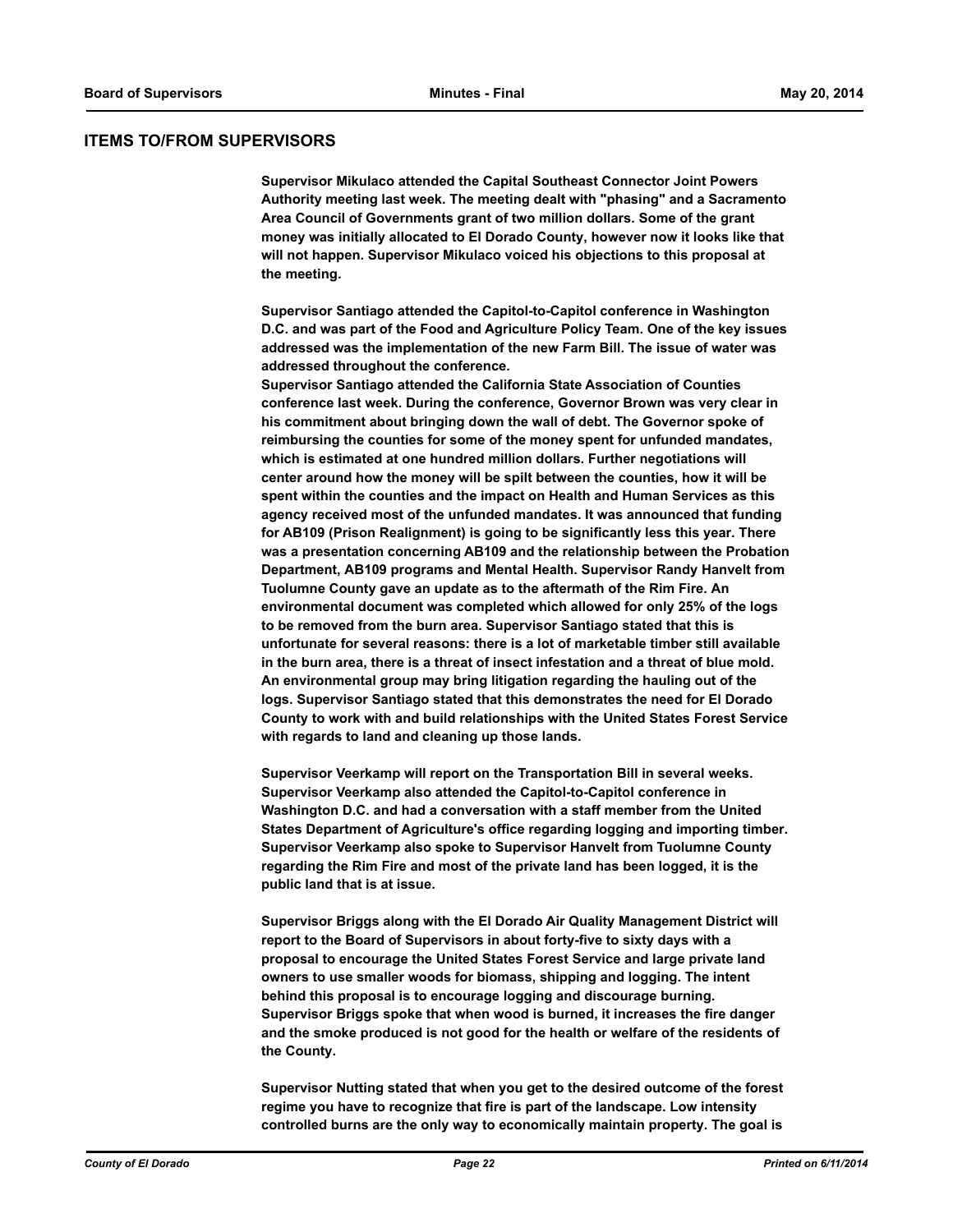#### **ITEMS TO/FROM SUPERVISORS**

**Supervisor Mikulaco attended the Capital Southeast Connector Joint Powers Authority meeting last week. The meeting dealt with "phasing" and a Sacramento Area Council of Governments grant of two million dollars. Some of the grant money was initially allocated to El Dorado County, however now it looks like that will not happen. Supervisor Mikulaco voiced his objections to this proposal at the meeting.**

**Supervisor Santiago attended the Capitol-to-Capitol conference in Washington D.C. and was part of the Food and Agriculture Policy Team. One of the key issues addressed was the implementation of the new Farm Bill. The issue of water was addressed throughout the conference.** 

**Supervisor Santiago attended the California State Association of Counties conference last week. During the conference, Governor Brown was very clear in his commitment about bringing down the wall of debt. The Governor spoke of reimbursing the counties for some of the money spent for unfunded mandates, which is estimated at one hundred million dollars. Further negotiations will center around how the money will be spilt between the counties, how it will be spent within the counties and the impact on Health and Human Services as this agency received most of the unfunded mandates. It was announced that funding for AB109 (Prison Realignment) is going to be significantly less this year. There was a presentation concerning AB109 and the relationship between the Probation Department, AB109 programs and Mental Health. Supervisor Randy Hanvelt from Tuolumne County gave an update as to the aftermath of the Rim Fire. An environmental document was completed which allowed for only 25% of the logs to be removed from the burn area. Supervisor Santiago stated that this is unfortunate for several reasons: there is a lot of marketable timber still available in the burn area, there is a threat of insect infestation and a threat of blue mold. An environmental group may bring litigation regarding the hauling out of the logs. Supervisor Santiago stated that this demonstrates the need for El Dorado County to work with and build relationships with the United States Forest Service with regards to land and cleaning up those lands.**

**Supervisor Veerkamp will report on the Transportation Bill in several weeks. Supervisor Veerkamp also attended the Capitol-to-Capitol conference in Washington D.C. and had a conversation with a staff member from the United States Department of Agriculture's office regarding logging and importing timber. Supervisor Veerkamp also spoke to Supervisor Hanvelt from Tuolumne County regarding the Rim Fire and most of the private land has been logged, it is the public land that is at issue.** 

**Supervisor Briggs along with the El Dorado Air Quality Management District will report to the Board of Supervisors in about forty-five to sixty days with a proposal to encourage the United States Forest Service and large private land owners to use smaller woods for biomass, shipping and logging. The intent behind this proposal is to encourage logging and discourage burning. Supervisor Briggs spoke that when wood is burned, it increases the fire danger and the smoke produced is not good for the health or welfare of the residents of the County.** 

**Supervisor Nutting stated that when you get to the desired outcome of the forest regime you have to recognize that fire is part of the landscape. Low intensity controlled burns are the only way to economically maintain property. The goal is**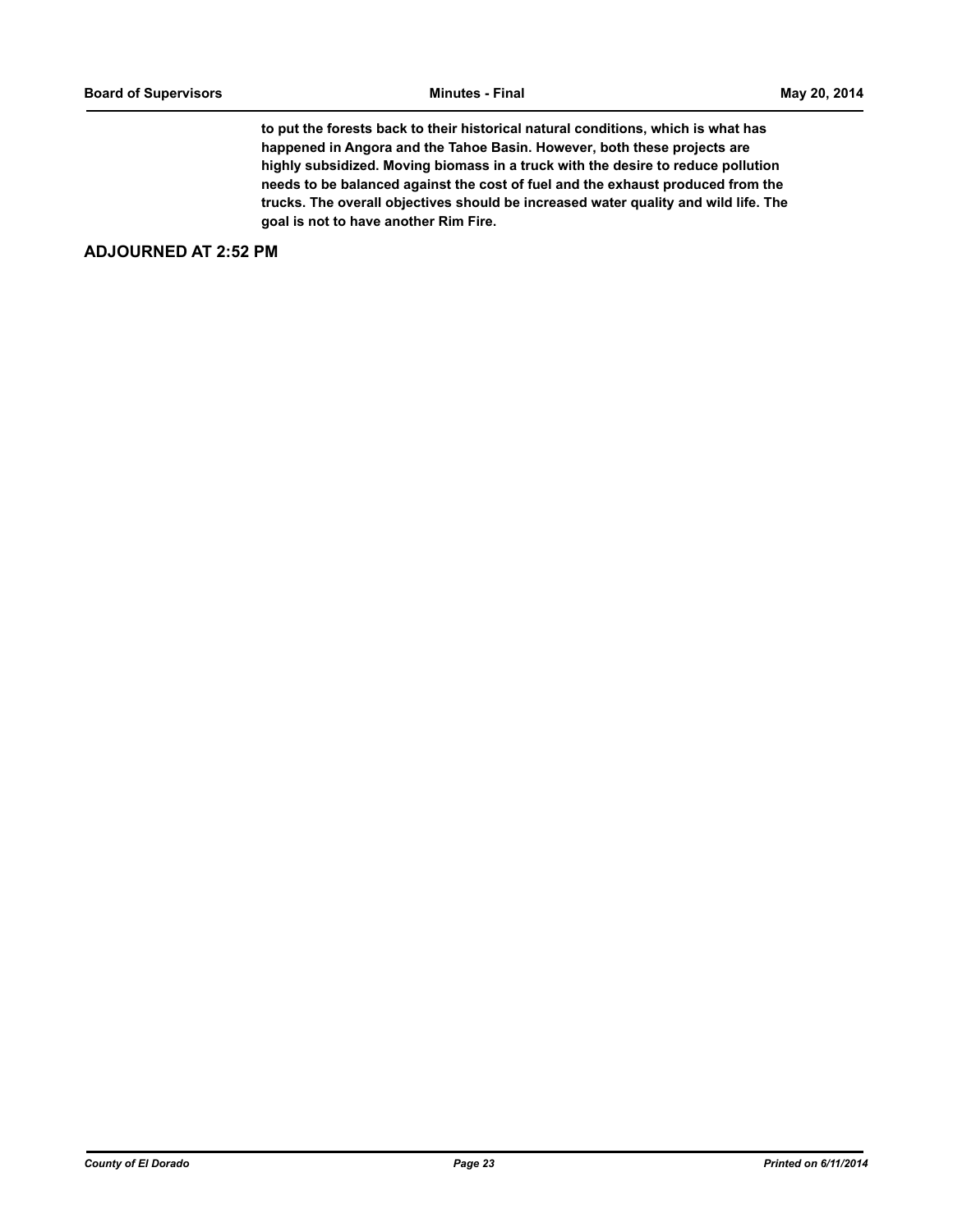**to put the forests back to their historical natural conditions, which is what has happened in Angora and the Tahoe Basin. However, both these projects are highly subsidized. Moving biomass in a truck with the desire to reduce pollution needs to be balanced against the cost of fuel and the exhaust produced from the trucks. The overall objectives should be increased water quality and wild life. The goal is not to have another Rim Fire.**

## **ADJOURNED AT 2:52 PM**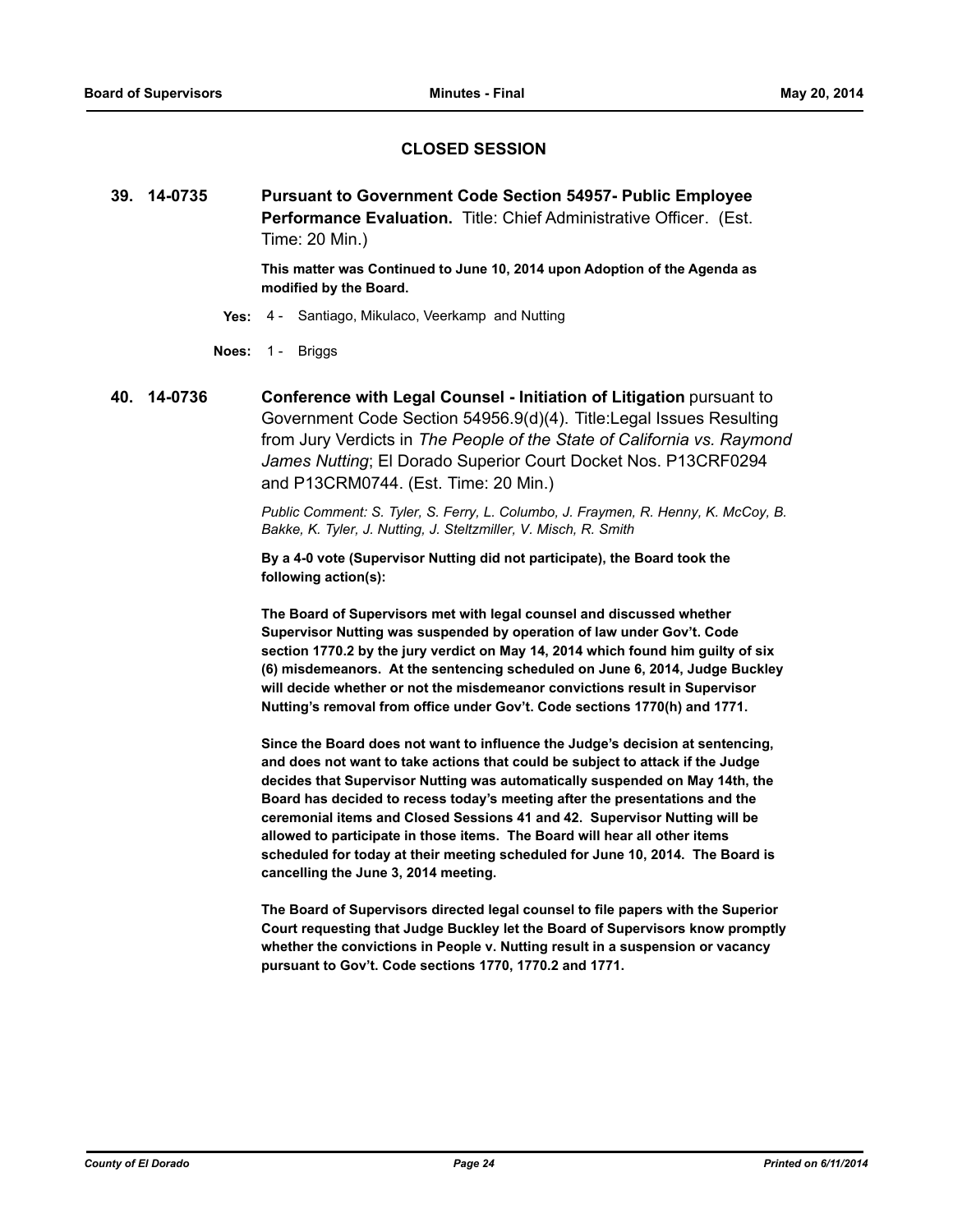## **CLOSED SESSION**

**39. 14-0735 Pursuant to Government Code Section 54957- Public Employee Performance Evaluation.** Title: Chief Administrative Officer. (Est. Time: 20 Min.)

> **This matter was Continued to June 10, 2014 upon Adoption of the Agenda as modified by the Board.**

- **Yes:** 4 Santiago, Mikulaco, Veerkamp and Nutting
- **Noes:** 1 Briggs
- **40. 14-0736 Conference with Legal Counsel Initiation of Litigation** pursuant to Government Code Section 54956.9(d)(4). Title:Legal Issues Resulting from Jury Verdicts in *The People of the State of California vs. Raymond James Nutting*; El Dorado Superior Court Docket Nos. P13CRF0294 and P13CRM0744. (Est. Time: 20 Min.)

*Public Comment: S. Tyler, S. Ferry, L. Columbo, J. Fraymen, R. Henny, K. McCoy, B. Bakke, K. Tyler, J. Nutting, J. Steltzmiller, V. Misch, R. Smith*

**By a 4-0 vote (Supervisor Nutting did not participate), the Board took the following action(s):**

**The Board of Supervisors met with legal counsel and discussed whether Supervisor Nutting was suspended by operation of law under Gov't. Code section 1770.2 by the jury verdict on May 14, 2014 which found him guilty of six (6) misdemeanors. At the sentencing scheduled on June 6, 2014, Judge Buckley will decide whether or not the misdemeanor convictions result in Supervisor Nutting's removal from office under Gov't. Code sections 1770(h) and 1771.**

**Since the Board does not want to influence the Judge's decision at sentencing, and does not want to take actions that could be subject to attack if the Judge decides that Supervisor Nutting was automatically suspended on May 14th, the Board has decided to recess today's meeting after the presentations and the ceremonial items and Closed Sessions 41 and 42. Supervisor Nutting will be allowed to participate in those items. The Board will hear all other items scheduled for today at their meeting scheduled for June 10, 2014. The Board is cancelling the June 3, 2014 meeting.**

**The Board of Supervisors directed legal counsel to file papers with the Superior Court requesting that Judge Buckley let the Board of Supervisors know promptly whether the convictions in People v. Nutting result in a suspension or vacancy pursuant to Gov't. Code sections 1770, 1770.2 and 1771.**